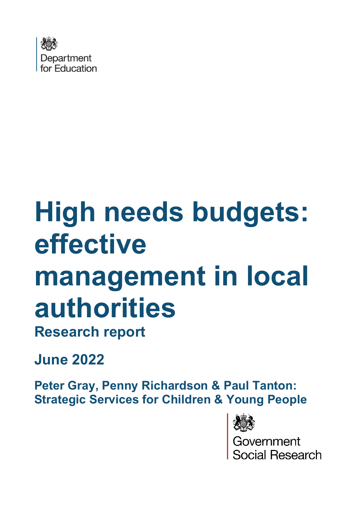

## **High needs budgets: effective management in local**

# **authorities**

**Research report** 

**June 2022**

**Peter Gray, Penny Richardson & Paul Tanton: Strategic Services for Children & Young People**



Government<br>Social Research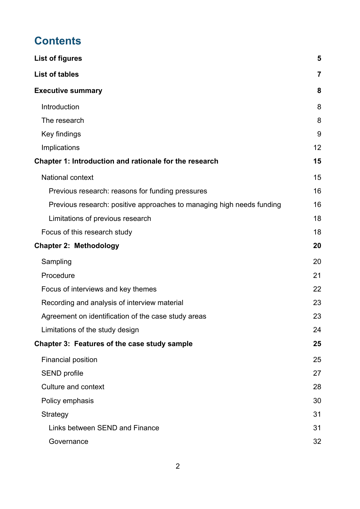## **Contents**

| <b>List of figures</b>                                                | 5  |
|-----------------------------------------------------------------------|----|
| <b>List of tables</b>                                                 | 7  |
| <b>Executive summary</b>                                              | 8  |
| Introduction                                                          | 8  |
| The research                                                          | 8  |
| Key findings                                                          | 9  |
| Implications                                                          | 12 |
| Chapter 1: Introduction and rationale for the research                | 15 |
| <b>National context</b>                                               | 15 |
| Previous research: reasons for funding pressures                      | 16 |
| Previous research: positive approaches to managing high needs funding | 16 |
| Limitations of previous research                                      | 18 |
| Focus of this research study                                          | 18 |
| <b>Chapter 2: Methodology</b>                                         | 20 |
| Sampling                                                              | 20 |
| Procedure                                                             | 21 |
| Focus of interviews and key themes                                    | 22 |
| Recording and analysis of interview material                          | 23 |
| Agreement on identification of the case study areas                   | 23 |
| Limitations of the study design                                       | 24 |
| Chapter 3: Features of the case study sample                          | 25 |
| <b>Financial position</b>                                             | 25 |
| <b>SEND</b> profile                                                   | 27 |
| <b>Culture and context</b>                                            | 28 |
| Policy emphasis                                                       | 30 |
| Strategy                                                              | 31 |
| Links between SEND and Finance                                        | 31 |
| Governance                                                            | 32 |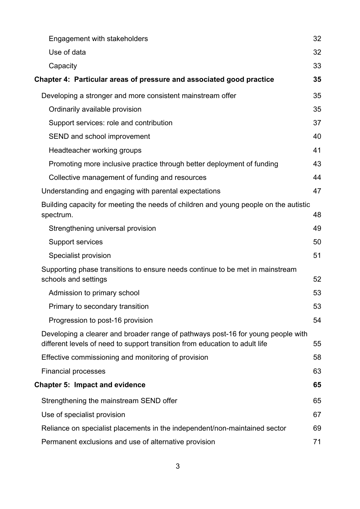| Engagement with stakeholders                                                                                                                                    | 32 |
|-----------------------------------------------------------------------------------------------------------------------------------------------------------------|----|
| Use of data                                                                                                                                                     | 32 |
| Capacity                                                                                                                                                        | 33 |
| Chapter 4: Particular areas of pressure and associated good practice                                                                                            | 35 |
| Developing a stronger and more consistent mainstream offer                                                                                                      | 35 |
| Ordinarily available provision                                                                                                                                  | 35 |
| Support services: role and contribution                                                                                                                         | 37 |
| SEND and school improvement                                                                                                                                     | 40 |
| Headteacher working groups                                                                                                                                      | 41 |
| Promoting more inclusive practice through better deployment of funding                                                                                          | 43 |
| Collective management of funding and resources                                                                                                                  | 44 |
| Understanding and engaging with parental expectations                                                                                                           | 47 |
| Building capacity for meeting the needs of children and young people on the autistic<br>spectrum.                                                               | 48 |
| Strengthening universal provision                                                                                                                               | 49 |
| <b>Support services</b>                                                                                                                                         | 50 |
| Specialist provision                                                                                                                                            | 51 |
| Supporting phase transitions to ensure needs continue to be met in mainstream<br>schools and settings                                                           | 52 |
| Admission to primary school                                                                                                                                     | 53 |
| Primary to secondary transition                                                                                                                                 | 53 |
| Progression to post-16 provision                                                                                                                                | 54 |
| Developing a clearer and broader range of pathways post-16 for young people with<br>different levels of need to support transition from education to adult life | 55 |
| Effective commissioning and monitoring of provision                                                                                                             | 58 |
| <b>Financial processes</b>                                                                                                                                      | 63 |
| <b>Chapter 5: Impact and evidence</b>                                                                                                                           | 65 |
| Strengthening the mainstream SEND offer                                                                                                                         | 65 |
| Use of specialist provision                                                                                                                                     | 67 |
| Reliance on specialist placements in the independent/non-maintained sector                                                                                      | 69 |
| Permanent exclusions and use of alternative provision                                                                                                           | 71 |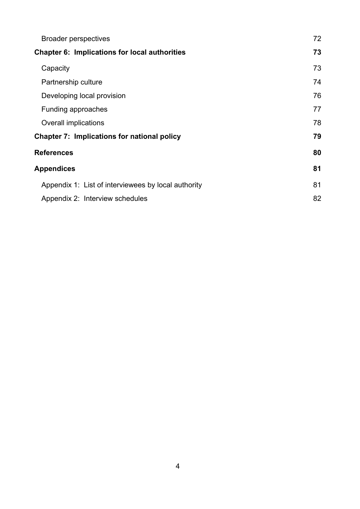| <b>Broader perspectives</b>                          | 72 |
|------------------------------------------------------|----|
| <b>Chapter 6: Implications for local authorities</b> | 73 |
| Capacity                                             | 73 |
| Partnership culture                                  | 74 |
| Developing local provision                           | 76 |
| <b>Funding approaches</b>                            | 77 |
| <b>Overall implications</b>                          | 78 |
| <b>Chapter 7: Implications for national policy</b>   | 79 |
| <b>References</b>                                    | 80 |
| <b>Appendices</b>                                    | 81 |
| Appendix 1: List of interviewees by local authority  | 81 |
| Appendix 2: Interview schedules                      | 82 |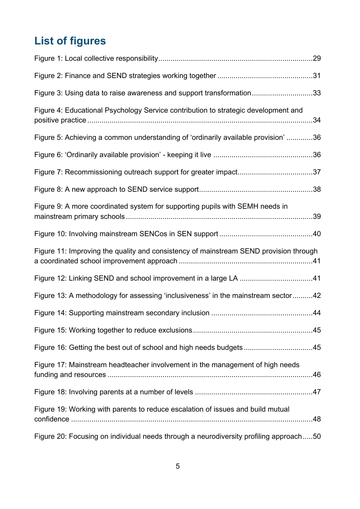## <span id="page-4-0"></span>**List of figures**

| Figure 3: Using data to raise awareness and support transformation33                  |  |
|---------------------------------------------------------------------------------------|--|
| Figure 4: Educational Psychology Service contribution to strategic development and    |  |
| Figure 5: Achieving a common understanding of 'ordinarily available provision' 36     |  |
|                                                                                       |  |
|                                                                                       |  |
|                                                                                       |  |
| Figure 9: A more coordinated system for supporting pupils with SEMH needs in          |  |
|                                                                                       |  |
| Figure 11: Improving the quality and consistency of mainstream SEND provision through |  |
|                                                                                       |  |
| Figure 13: A methodology for assessing 'inclusiveness' in the mainstream sector42     |  |
|                                                                                       |  |
|                                                                                       |  |
| Figure 16: Getting the best out of school and high needs budgets45                    |  |
| Figure 17: Mainstream headteacher involvement in the management of high needs         |  |
|                                                                                       |  |
| Figure 19: Working with parents to reduce escalation of issues and build mutual       |  |
| Figure 20: Focusing on individual needs through a neurodiversity profiling approach50 |  |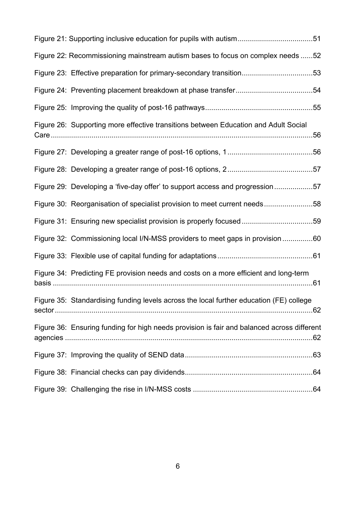| Figure 22: Recommissioning mainstream autism bases to focus on complex needs 52            |  |
|--------------------------------------------------------------------------------------------|--|
| Figure 23: Effective preparation for primary-secondary transition53                        |  |
|                                                                                            |  |
|                                                                                            |  |
| Figure 26: Supporting more effective transitions between Education and Adult Social        |  |
|                                                                                            |  |
|                                                                                            |  |
| Figure 29: Developing a 'five-day offer' to support access and progression57               |  |
| Figure 30: Reorganisation of specialist provision to meet current needs58                  |  |
| Figure 31: Ensuring new specialist provision is properly focused59                         |  |
| Figure 32: Commissioning local I/N-MSS providers to meet gaps in provision 60              |  |
|                                                                                            |  |
| Figure 34: Predicting FE provision needs and costs on a more efficient and long-term       |  |
| Figure 35: Standardising funding levels across the local further education (FE) college    |  |
| Figure 36: Ensuring funding for high needs provision is fair and balanced across different |  |
|                                                                                            |  |
|                                                                                            |  |
|                                                                                            |  |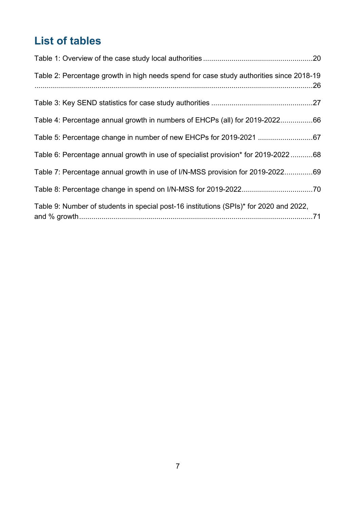## <span id="page-6-0"></span>**List of tables**

| Table 2: Percentage growth in high needs spend for case study authorities since 2018-19 |  |
|-----------------------------------------------------------------------------------------|--|
|                                                                                         |  |
| Table 4: Percentage annual growth in numbers of EHCPs (all) for 2019-202266             |  |
|                                                                                         |  |
| Table 6: Percentage annual growth in use of specialist provision* for 2019-202268       |  |
| Table 7: Percentage annual growth in use of I/N-MSS provision for 2019-202269           |  |
|                                                                                         |  |
| Table 9: Number of students in special post-16 institutions (SPIs)* for 2020 and 2022,  |  |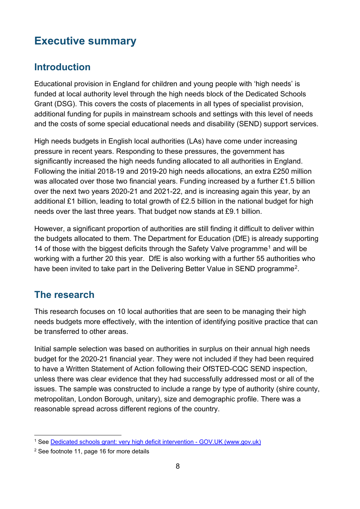## <span id="page-7-0"></span>**Executive summary**

## <span id="page-7-1"></span>**Introduction**

Educational provision in England for children and young people with 'high needs' is funded at local authority level through the high needs block of the Dedicated Schools Grant (DSG). This covers the costs of placements in all types of specialist provision, additional funding for pupils in mainstream schools and settings with this level of needs and the costs of some special educational needs and disability (SEND) support services.

High needs budgets in English local authorities (LAs) have come under increasing pressure in recent years. Responding to these pressures, the government has significantly increased the high needs funding allocated to all authorities in England. Following the initial 2018-19 and 2019-20 high needs allocations, an extra £250 million was allocated over those two financial years. Funding increased by a further £1.5 billion over the next two years 2020-21 and 2021-22, and is increasing again this year, by an additional £1 billion, leading to total growth of £2.5 billion in the national budget for high needs over the last three years. That budget now stands at £9.1 billion.

However, a significant proportion of authorities are still finding it difficult to deliver within the budgets allocated to them. The Department for Education (DfE) is already supporting [1](#page-7-3)4 of those with the biggest deficits through the Safety Valve programme<sup>1</sup> and will be working with a further 20 this year. DfE is also working with a further 55 authorities who have been invited to take part in the Delivering Better Value in SEND programme<sup>[2](#page-7-4)</sup>.

## <span id="page-7-2"></span>**The research**

This research focuses on 10 local authorities that are seen to be managing their high needs budgets more effectively, with the intention of identifying positive practice that can be transferred to other areas.

Initial sample selection was based on authorities in surplus on their annual high needs budget for the 2020-21 financial year. They were not included if they had been required to have a Written Statement of Action following their OfSTED-CQC SEND inspection, unless there was clear evidence that they had successfully addressed most or all of the issues. The sample was constructed to include a range by type of authority (shire county, metropolitan, London Borough, unitary), size and demographic profile. There was a reasonable spread across different regions of the country.

<span id="page-7-3"></span><sup>&</sup>lt;sup>1</sup> See [Dedicated schools grant: very high deficit intervention - GOV.UK \(www.gov.uk\)](https://www.gov.uk/government/publications/dedicated-schools-grant-very-high-deficit-intervention)

<span id="page-7-4"></span><sup>&</sup>lt;sup>2</sup> See footnote 11, page 16 for more details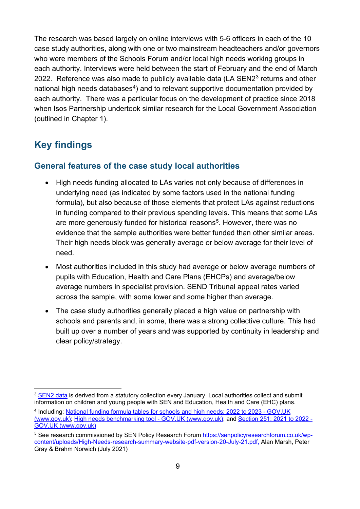The research was based largely on online interviews with 5-6 officers in each of the 10 case study authorities, along with one or two mainstream headteachers and/or governors who were members of the Schools Forum and/or local high needs working groups in each authority. Interviews were held between the start of February and the end of March 2022. Reference was also made to publicly available data  $(LA)$  SEN2<sup>[3](#page-8-1)</sup> returns and other national high needs databases<sup>[4](#page-8-2)</sup>) and to relevant supportive documentation provided by each authority. There was a particular focus on the development of practice since 2018 when Isos Partnership undertook similar research for the Local Government Association (outlined in Chapter 1).

## <span id="page-8-0"></span>**Key findings**

#### **General features of the case study local authorities**

- High needs funding allocated to LAs varies not only because of differences in underlying need (as indicated by some factors used in the national funding formula), but also because of those elements that protect LAs against reductions in funding compared to their previous spending levels**.** This means that some LAs are more generously funded for historical reasons<sup>5</sup>. However, there was no evidence that the sample authorities were better funded than other similar areas. Their high needs block was generally average or below average for their level of need.
- Most authorities included in this study had average or below average numbers of pupils with Education, Health and Care Plans (EHCPs) and average/below average numbers in specialist provision. SEND Tribunal appeal rates varied across the sample, with some lower and some higher than average.
- The case study authorities generally placed a high value on partnership with schools and parents and, in some, there was a strong collective culture. This had built up over a number of years and was supported by continuity in leadership and clear policy/strategy.

<span id="page-8-1"></span><sup>&</sup>lt;sup>3</sup> [SEN2 data](https://www.gov.uk/government/statistics/special-educational-needs-in-england-january-2021) is derived from a statutory collection every January. Local authorities collect and submit information on children and young people with SEN and Education, Health and Care (EHC) plans.

<span id="page-8-2"></span><sup>4</sup> Including: [National funding formula tables for schools and high needs: 2022 to 2023 - GOV.UK](https://www.gov.uk/government/publications/national-funding-formula-tables-for-schools-and-high-needs-2022-to-2023)  [\(www.gov.uk\);](https://www.gov.uk/government/publications/national-funding-formula-tables-for-schools-and-high-needs-2022-to-2023) [High needs benchmarking tool - GOV.UK \(www.gov.uk\);](https://www.gov.uk/government/publications/high-needs-benchmarking-tool) and [Section 251: 2021 to 2022 -](https://www.gov.uk/government/publications/section-251-2021-to-2022)  [GOV.UK \(www.gov.uk\)](https://www.gov.uk/government/publications/section-251-2021-to-2022) 

<span id="page-8-3"></span><sup>&</sup>lt;sup>5</sup> See research commissioned by SEN Policy Research Forum [https://senpolicyresearchforum.co.uk/wp](https://senpolicyresearchforum.co.uk/wp-content/uploads/High-Needs-research-summary-website-pdf-version-20-July-21.pdf)[content/uploads/High-Needs-research-summary-website-pdf-version-20-July-21.pdf,](https://senpolicyresearchforum.co.uk/wp-content/uploads/High-Needs-research-summary-website-pdf-version-20-July-21.pdf) Alan Marsh, Peter Gray & Brahm Norwich (July 2021)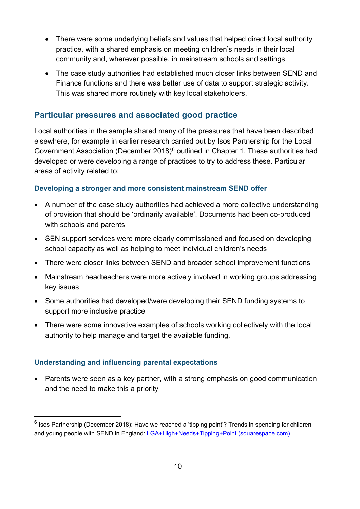- There were some underlying beliefs and values that helped direct local authority practice, with a shared emphasis on meeting children's needs in their local community and, wherever possible, in mainstream schools and settings.
- The case study authorities had established much closer links between SEND and Finance functions and there was better use of data to support strategic activity. This was shared more routinely with key local stakeholders.

#### **Particular pressures and associated good practice**

Local authorities in the sample shared many of the pressures that have been described elsewhere, for example in earlier research carried out by Isos Partnership for the Local Government Association (December 2018)<sup>[6](#page-9-0)</sup> outlined in Chapter 1. These authorities had developed or were developing a range of practices to try to address these. Particular areas of activity related to:

#### **Developing a stronger and more consistent mainstream SEND offer**

- A number of the case study authorities had achieved a more collective understanding of provision that should be 'ordinarily available'. Documents had been co-produced with schools and parents
- SEN support services were more clearly commissioned and focused on developing school capacity as well as helping to meet individual children's needs
- There were closer links between SEND and broader school improvement functions
- Mainstream headteachers were more actively involved in working groups addressing key issues
- Some authorities had developed/were developing their SEND funding systems to support more inclusive practice
- There were some innovative examples of schools working collectively with the local authority to help manage and target the available funding.

#### **Understanding and influencing parental expectations**

• Parents were seen as a key partner, with a strong emphasis on good communication and the need to make this a priority

<span id="page-9-0"></span> $6$  Isos Partnership (December 2018): Have we reached a 'tipping point'? Trends in spending for children and young people with SEND in England: [LGA+High+Needs+Tipping+Point \(squarespace.com\)](https://static1.squarespace.com/static/5ce55a5ad4c5c500016855ee/t/5d1cdad6b27e2700017ea7c9/1575395025501/LGA+High+Needs+Tipping+Point)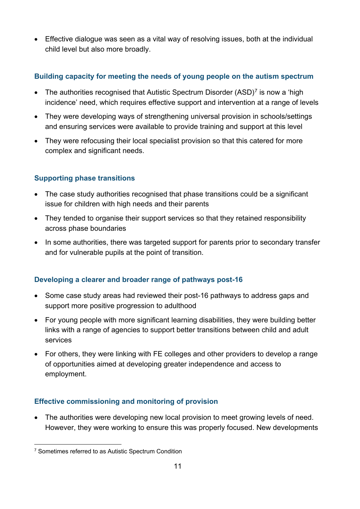• Effective dialogue was seen as a vital way of resolving issues, both at the individual child level but also more broadly.

#### **Building capacity for meeting the needs of young people on the autism spectrum**

- The authorities recognised that Autistic Spectrum Disorder  $(ASD)<sup>7</sup>$  $(ASD)<sup>7</sup>$  $(ASD)<sup>7</sup>$  is now a 'high incidence' need, which requires effective support and intervention at a range of levels
- They were developing ways of strengthening universal provision in schools/settings and ensuring services were available to provide training and support at this level
- They were refocusing their local specialist provision so that this catered for more complex and significant needs.

#### **Supporting phase transitions**

- The case study authorities recognised that phase transitions could be a significant issue for children with high needs and their parents
- They tended to organise their support services so that they retained responsibility across phase boundaries
- In some authorities, there was targeted support for parents prior to secondary transfer and for vulnerable pupils at the point of transition.

#### **Developing a clearer and broader range of pathways post-16**

- Some case study areas had reviewed their post-16 pathways to address gaps and support more positive progression to adulthood
- For young people with more significant learning disabilities, they were building better links with a range of agencies to support better transitions between child and adult services
- For others, they were linking with FE colleges and other providers to develop a range of opportunities aimed at developing greater independence and access to employment.

#### **Effective commissioning and monitoring of provision**

• The authorities were developing new local provision to meet growing levels of need. However, they were working to ensure this was properly focused. New developments

<span id="page-10-0"></span><sup>7</sup> Sometimes referred to as Autistic Spectrum Condition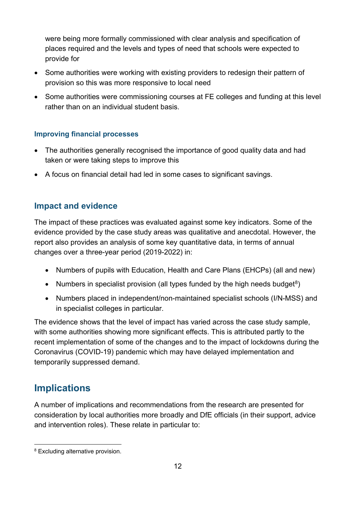were being more formally commissioned with clear analysis and specification of places required and the levels and types of need that schools were expected to provide for

- Some authorities were working with existing providers to redesign their pattern of provision so this was more responsive to local need
- Some authorities were commissioning courses at FE colleges and funding at this level rather than on an individual student basis.

#### **Improving financial processes**

- The authorities generally recognised the importance of good quality data and had taken or were taking steps to improve this
- A focus on financial detail had led in some cases to significant savings.

#### **Impact and evidence**

The impact of these practices was evaluated against some key indicators. Some of the evidence provided by the case study areas was qualitative and anecdotal. However, the report also provides an analysis of some key quantitative data, in terms of annual changes over a three-year period (2019-2022) in:

- Numbers of pupils with Education, Health and Care Plans (EHCPs) (all and new)
- Numbers in specialist provision (all types funded by the high needs budget<sup>8</sup>)
- Numbers placed in independent/non-maintained specialist schools (I/N-MSS) and in specialist colleges in particular.

The evidence shows that the level of impact has varied across the case study sample, with some authorities showing more significant effects. This is attributed partly to the recent implementation of some of the changes and to the impact of lockdowns during the Coronavirus (COVID-19) pandemic which may have delayed implementation and temporarily suppressed demand.

## <span id="page-11-0"></span>**Implications**

A number of implications and recommendations from the research are presented for consideration by local authorities more broadly and DfE officials (in their support, advice and intervention roles). These relate in particular to:

<span id="page-11-1"></span><sup>8</sup> Excluding alternative provision.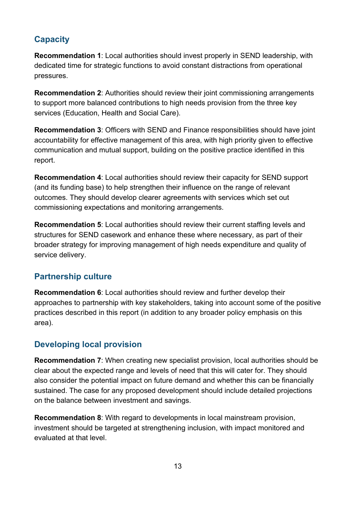## **Capacity**

**Recommendation 1**: Local authorities should invest properly in SEND leadership, with dedicated time for strategic functions to avoid constant distractions from operational pressures.

**Recommendation 2**: Authorities should review their joint commissioning arrangements to support more balanced contributions to high needs provision from the three key services (Education, Health and Social Care).

**Recommendation 3**: Officers with SEND and Finance responsibilities should have joint accountability for effective management of this area, with high priority given to effective communication and mutual support, building on the positive practice identified in this report.

**Recommendation 4**: Local authorities should review their capacity for SEND support (and its funding base) to help strengthen their influence on the range of relevant outcomes. They should develop clearer agreements with services which set out commissioning expectations and monitoring arrangements.

**Recommendation 5**: Local authorities should review their current staffing levels and structures for SEND casework and enhance these where necessary, as part of their broader strategy for improving management of high needs expenditure and quality of service delivery.

#### **Partnership culture**

**Recommendation 6**: Local authorities should review and further develop their approaches to partnership with key stakeholders, taking into account some of the positive practices described in this report (in addition to any broader policy emphasis on this area).

#### **Developing local provision**

**Recommendation 7**: When creating new specialist provision, local authorities should be clear about the expected range and levels of need that this will cater for. They should also consider the potential impact on future demand and whether this can be financially sustained. The case for any proposed development should include detailed projections on the balance between investment and savings.

**Recommendation 8**: With regard to developments in local mainstream provision, investment should be targeted at strengthening inclusion, with impact monitored and evaluated at that level.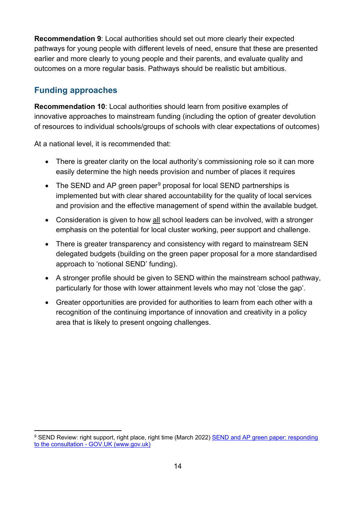**Recommendation 9**: Local authorities should set out more clearly their expected pathways for young people with different levels of need, ensure that these are presented earlier and more clearly to young people and their parents, and evaluate quality and outcomes on a more regular basis. Pathways should be realistic but ambitious.

#### **Funding approaches**

**Recommendation 10**: Local authorities should learn from positive examples of innovative approaches to mainstream funding (including the option of greater devolution of resources to individual schools/groups of schools with clear expectations of outcomes)

At a national level, it is recommended that:

- There is greater clarity on the local authority's commissioning role so it can more easily determine the high needs provision and number of places it requires
- The SEND and AP green paper<sup>[9](#page-13-0)</sup> proposal for local SEND partnerships is implemented but with clear shared accountability for the quality of local services and provision and the effective management of spend within the available budget.
- Consideration is given to how all school leaders can be involved, with a stronger emphasis on the potential for local cluster working, peer support and challenge.
- There is greater transparency and consistency with regard to mainstream SEN delegated budgets (building on the green paper proposal for a more standardised approach to 'notional SEND' funding).
- A stronger profile should be given to SEND within the mainstream school pathway, particularly for those with lower attainment levels who may not 'close the gap'.
- Greater opportunities are provided for authorities to learn from each other with a recognition of the continuing importance of innovation and creativity in a policy area that is likely to present ongoing challenges.

<span id="page-13-0"></span><sup>9</sup> SEND Review: right support, right place, right time (March 2022) [SEND and AP green paper: responding](https://www.gov.uk/government/publications/send-and-ap-green-paper-responding-to-the-consultation)  [to the consultation - GOV.UK \(www.gov.uk\)](https://www.gov.uk/government/publications/send-and-ap-green-paper-responding-to-the-consultation)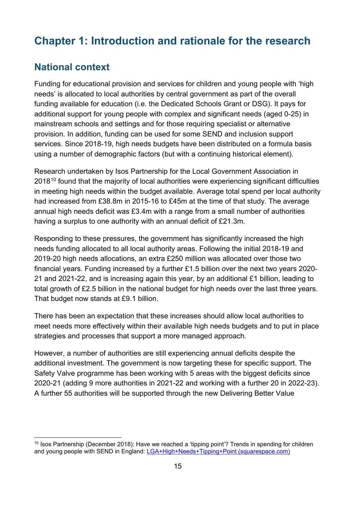## <span id="page-14-0"></span>**Chapter 1: Introduction and rationale for the research**

## <span id="page-14-1"></span>**National context**

Funding for educational provision and services for children and young people with 'high needs' is allocated to local authorities by central government as part of the overall funding available for education (i.e. the Dedicated Schools Grant or DSG). It pays for additional support for young people with complex and significant needs (aged 0-25) in mainstream schools and settings and for those requiring specialist or alternative provision. In addition, funding can be used for some SEND and inclusion support services. Since 2018-19, high needs budgets have been distributed on a formula basis using a number of demographic factors (but with a continuing historical element).

Research undertaken by Isos Partnership for the Local Government Association in 2018<sup>[10](#page-14-2)</sup> found that the majority of local authorities were experiencing significant difficulties in meeting high needs within the budget available. Average total spend per local authority had increased from £38.8m in 2015-16 to £45m at the time of that study. The average annual high needs deficit was £3.4m with a range from a small number of authorities having a surplus to one authority with an annual deficit of £21.3m.

Responding to these pressures, the government has significantly increased the high needs funding allocated to all local authority areas. Following the initial 2018-19 and 2019-20 high needs allocations, an extra £250 million was allocated over those two financial years. Funding increased by a further £1.5 billion over the next two years 2020- 21 and 2021-22, and is increasing again this year, by an additional £1 billion, leading to total growth of £2.5 billion in the national budget for high needs over the last three years. That budget now stands at £9.1 billion.

There has been an expectation that these increases should allow local authorities to meet needs more effectively within their available high needs budgets and to put in place strategies and processes that support a more managed approach.

However, a number of authorities are still experiencing annual deficits despite the additional investment. The government is now targeting these for specific support. The Safety Valve programme has been working with 5 areas with the biggest deficits since 2020-21 (adding 9 more authorities in 2021-22 and working with a further 20 in 2022-23). A further 55 authorities will be supported through the new Delivering Better Value

<span id="page-14-2"></span><sup>&</sup>lt;sup>10</sup> Isos Partnership (December 2018): Have we reached a 'tipping point'? Trends in spending for children and young people with SEND in England: [LGA+High+Needs+Tipping+Point \(squarespace.com\)](https://static1.squarespace.com/static/5ce55a5ad4c5c500016855ee/t/5d1cdad6b27e2700017ea7c9/1575395025501/LGA+High+Needs+Tipping+Point)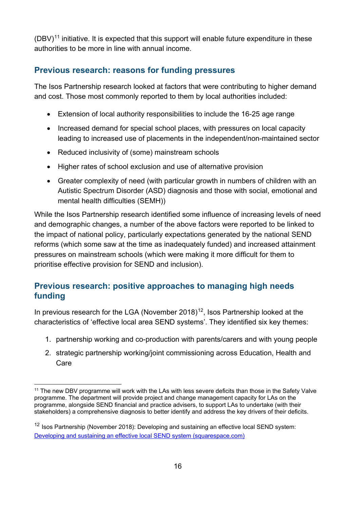$(DBV)^{11}$  $(DBV)^{11}$  $(DBV)^{11}$  initiative. It is expected that this support will enable future expenditure in these authorities to be more in line with annual income.

### <span id="page-15-0"></span>**Previous research: reasons for funding pressures**

The Isos Partnership research looked at factors that were contributing to higher demand and cost. Those most commonly reported to them by local authorities included:

- Extension of local authority responsibilities to include the 16-25 age range
- Increased demand for special school places, with pressures on local capacity leading to increased use of placements in the independent/non-maintained sector
- Reduced inclusivity of (some) mainstream schools
- Higher rates of school exclusion and use of alternative provision
- Greater complexity of need (with particular growth in numbers of children with an Autistic Spectrum Disorder (ASD) diagnosis and those with social, emotional and mental health difficulties (SEMH))

While the Isos Partnership research identified some influence of increasing levels of need and demographic changes, a number of the above factors were reported to be linked to the impact of national policy, particularly expectations generated by the national SEND reforms (which some saw at the time as inadequately funded) and increased attainment pressures on mainstream schools (which were making it more difficult for them to prioritise effective provision for SEND and inclusion).

#### <span id="page-15-1"></span>**Previous research: positive approaches to managing high needs funding**

In previous research for the LGA (November 2018)<sup>[12](#page-15-3)</sup>, Isos Partnership looked at the characteristics of 'effective local area SEND systems'. They identified six key themes:

- 1. partnership working and co-production with parents/carers and with young people
- 2. strategic partnership working/joint commissioning across Education, Health and Care

<span id="page-15-2"></span><sup>&</sup>lt;sup>11</sup> The new DBV programme will work with the LAs with less severe deficits than those in the Safety Valve programme. The department will provide project and change management capacity for LAs on the programme, alongside SEND financial and practice advisers, to support LAs to undertake (with their stakeholders) a comprehensive diagnosis to better identify and address the key drivers of their deficits.

<span id="page-15-3"></span><sup>&</sup>lt;sup>12</sup> Isos Partnership (November 2018): Developing and sustaining an effective local SEND system: [Developing and sustaining an effective local SEND system \(squarespace.com\)](https://static1.squarespace.com/static/5ce55a5ad4c5c500016855ee/t/5d1cdaee9e6a5400011b6aa7/1562172149452/181108_LGA+SEND_final+report.pdf)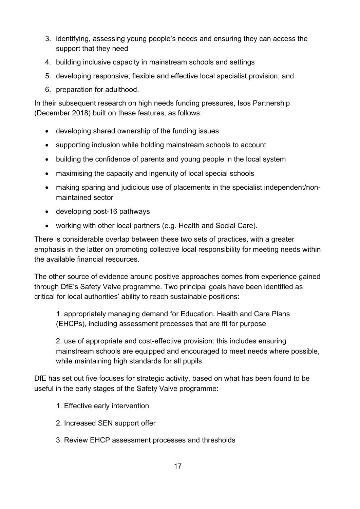- 3. identifying, assessing young people's needs and ensuring they can access the support that they need
- 4. building inclusive capacity in mainstream schools and settings
- 5. developing responsive, flexible and effective local specialist provision; and
- 6. preparation for adulthood.

In their subsequent research on high needs funding pressures, Isos Partnership (December 2018) built on these features, as follows:

- developing shared ownership of the funding issues
- supporting inclusion while holding mainstream schools to account
- building the confidence of parents and young people in the local system
- maximising the capacity and ingenuity of local special schools
- making sparing and judicious use of placements in the specialist independent/nonmaintained sector
- developing post-16 pathways
- working with other local partners (e.g. Health and Social Care).

There is considerable overlap between these two sets of practices, with a greater emphasis in the latter on promoting collective local responsibility for meeting needs within the available financial resources.

The other source of evidence around positive approaches comes from experience gained through DfE's Safety Valve programme. Two principal goals have been identified as critical for local authorities' ability to reach sustainable positions:

1. appropriately managing demand for Education, Health and Care Plans (EHCPs), including assessment processes that are fit for purpose

2. use of appropriate and cost-effective provision: this includes ensuring mainstream schools are equipped and encouraged to meet needs where possible, while maintaining high standards for all pupils

DfE has set out five focuses for strategic activity, based on what has been found to be useful in the early stages of the Safety Valve programme:

- 1. Effective early intervention
- 2. Increased SEN support offer
- 3. Review EHCP assessment processes and thresholds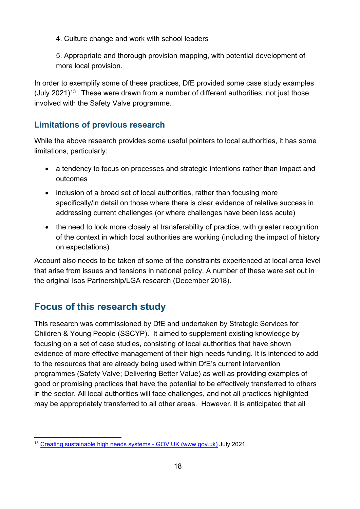4. Culture change and work with school leaders

5. Appropriate and thorough provision mapping, with potential development of more local provision.

In order to exemplify some of these practices, DfE provided some case study examples (July 2021)<sup>[13](#page-17-2)</sup>. These were drawn from a number of different authorities, not just those involved with the Safety Valve programme.

#### <span id="page-17-0"></span>**Limitations of previous research**

While the above research provides some useful pointers to local authorities, it has some limitations, particularly:

- a tendency to focus on processes and strategic intentions rather than impact and outcomes
- inclusion of a broad set of local authorities, rather than focusing more specifically/in detail on those where there is clear evidence of relative success in addressing current challenges (or where challenges have been less acute)
- the need to look more closely at transferability of practice, with greater recognition of the context in which local authorities are working (including the impact of history on expectations)

Account also needs to be taken of some of the constraints experienced at local area level that arise from issues and tensions in national policy. A number of these were set out in the original Isos Partnership/LGA research (December 2018).

## <span id="page-17-1"></span>**Focus of this research study**

This research was commissioned by DfE and undertaken by Strategic Services for Children & Young People (SSCYP). It aimed to supplement existing knowledge by focusing on a set of case studies, consisting of local authorities that have shown evidence of more effective management of their high needs funding. It is intended to add to the resources that are already being used within DfE's current intervention programmes (Safety Valve; Delivering Better Value) as well as providing examples of good or promising practices that have the potential to be effectively transferred to others in the sector. All local authorities will face challenges, and not all practices highlighted may be appropriately transferred to all other areas. However, it is anticipated that all

<span id="page-17-2"></span><sup>&</sup>lt;sup>13</sup> [Creating sustainable high needs systems - GOV.UK \(www.gov.uk\)](https://www.gov.uk/government/publications/creating-sustainable-high-needs-systems) July 2021.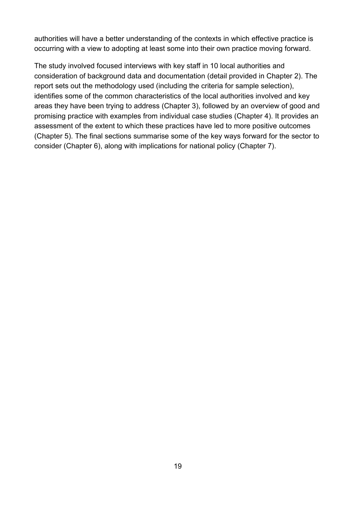authorities will have a better understanding of the contexts in which effective practice is occurring with a view to adopting at least some into their own practice moving forward.

The study involved focused interviews with key staff in 10 local authorities and consideration of background data and documentation (detail provided in Chapter 2). The report sets out the methodology used (including the criteria for sample selection), identifies some of the common characteristics of the local authorities involved and key areas they have been trying to address (Chapter 3), followed by an overview of good and promising practice with examples from individual case studies (Chapter 4). It provides an assessment of the extent to which these practices have led to more positive outcomes (Chapter 5). The final sections summarise some of the key ways forward for the sector to consider (Chapter 6), along with implications for national policy (Chapter 7).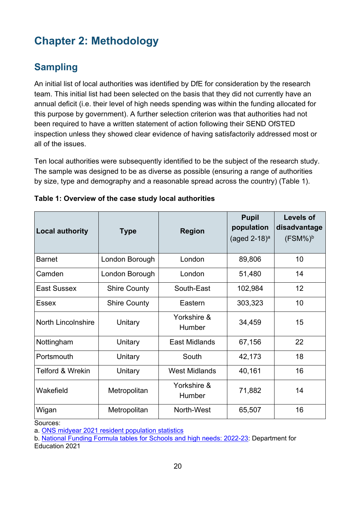## <span id="page-19-0"></span>**Chapter 2: Methodology**

## <span id="page-19-1"></span>**Sampling**

An initial list of local authorities was identified by DfE for consideration by the research team. This initial list had been selected on the basis that they did not currently have an annual deficit (i.e. their level of high needs spending was within the funding allocated for this purpose by government). A further selection criterion was that authorities had not been required to have a written statement of action following their SEND OfSTED inspection unless they showed clear evidence of having satisfactorily addressed most or all of the issues.

Ten local authorities were subsequently identified to be the subject of the research study. The sample was designed to be as diverse as possible (ensuring a range of authorities by size, type and demography and a reasonable spread across the country) (Table 1).

| <b>Local authority</b>      | <b>Type</b>         | <b>Region</b>         | <b>Pupil</b><br>population<br>(aged 2-18) <sup>a</sup> | <b>Levels of</b><br>disadvantage<br>$(FSM%)^b$ |
|-----------------------------|---------------------|-----------------------|--------------------------------------------------------|------------------------------------------------|
| <b>Barnet</b>               | London Borough      | London                | 89,806                                                 | 10                                             |
| Camden                      | London Borough      | London                | 51,480                                                 | 14                                             |
| East Sussex                 | <b>Shire County</b> | South-East            | 102,984                                                | 12                                             |
| Essex                       | <b>Shire County</b> | Eastern               | 303,323                                                | 10                                             |
| <b>North Lincolnshire</b>   | Unitary             | Yorkshire &<br>Humber | 34,459                                                 | 15                                             |
| Nottingham                  | Unitary             | <b>East Midlands</b>  | 67,156                                                 | 22                                             |
| Portsmouth                  | Unitary             | South                 | 42,173                                                 | 18                                             |
| <b>Telford &amp; Wrekin</b> | Unitary             | <b>West Midlands</b>  | 40,161                                                 | 16                                             |
| Wakefield                   | Metropolitan        | Yorkshire &<br>Humber | 71,882                                                 | 14                                             |
| Wigan                       | Metropolitan        | North-West            | 65,507                                                 | 16                                             |

<span id="page-19-2"></span>

| Table 1: Overview of the case study local authorities |  |  |
|-------------------------------------------------------|--|--|
|-------------------------------------------------------|--|--|

Sources:

a. [ONS midyear 2021 resident population statistics](https://www.ons.gov.uk/peoplepopulationandcommunity/populationandmigration/populationestimates/timeseries/enpop/pop) 

b. National Funding [Formula tables for Schools and high needs: 2022-23:](https://www.gov.uk/government/publications/national-funding-formula-tables-for-schools-and-high-needs-2022-to-2023) Department for

Education 2021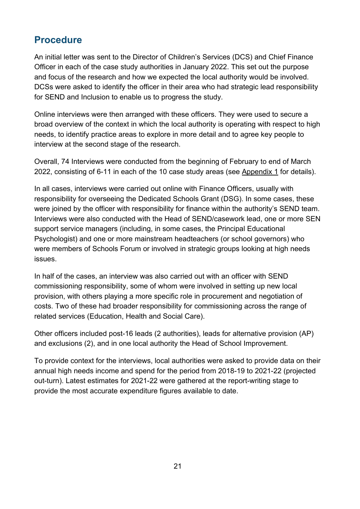## <span id="page-20-0"></span>**Procedure**

An initial letter was sent to the Director of Children's Services (DCS) and Chief Finance Officer in each of the case study authorities in January 2022. This set out the purpose and focus of the research and how we expected the local authority would be involved. DCSs were asked to identify the officer in their area who had strategic lead responsibility for SEND and Inclusion to enable us to progress the study.

Online interviews were then arranged with these officers. They were used to secure a broad overview of the context in which the local authority is operating with respect to high needs, to identify practice areas to explore in more detail and to agree key people to interview at the second stage of the research.

Overall, 74 Interviews were conducted from the beginning of February to end of March 2022, consisting of 6-11 in each of the 10 case study areas (see Appendix 1 for details).

In all cases, interviews were carried out online with Finance Officers, usually with responsibility for overseeing the Dedicated Schools Grant (DSG). In some cases, these were joined by the officer with responsibility for finance within the authority's SEND team. Interviews were also conducted with the Head of SEND/casework lead, one or more SEN support service managers (including, in some cases, the Principal Educational Psychologist) and one or more mainstream headteachers (or school governors) who were members of Schools Forum or involved in strategic groups looking at high needs issues.

In half of the cases, an interview was also carried out with an officer with SEND commissioning responsibility, some of whom were involved in setting up new local provision, with others playing a more specific role in procurement and negotiation of costs. Two of these had broader responsibility for commissioning across the range of related services (Education, Health and Social Care).

Other officers included post-16 leads (2 authorities), leads for alternative provision (AP) and exclusions (2), and in one local authority the Head of School Improvement.

To provide context for the interviews, local authorities were asked to provide data on their annual high needs income and spend for the period from 2018-19 to 2021-22 (projected out-turn). Latest estimates for 2021-22 were gathered at the report-writing stage to provide the most accurate expenditure figures available to date.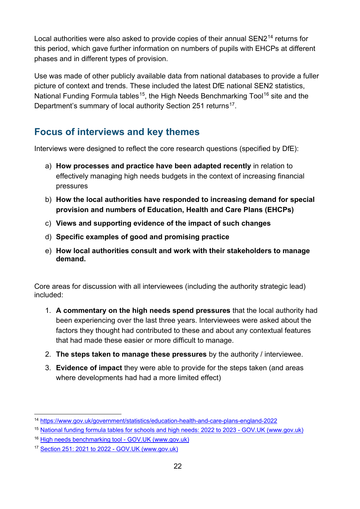Local authorities were also asked to provide copies of their annual SEN2[14](#page-21-1) returns for this period, which gave further information on numbers of pupils with EHCPs at different phases and in different types of provision.

Use was made of other publicly available data from national databases to provide a fuller picture of context and trends. These included the latest DfE national SEN2 statistics, National Funding Formula tables<sup>15</sup>, the High Needs Benchmarking Tool<sup>[16](#page-21-3)</sup> site and the Department's summary of local authority Section 251 returns<sup>[17](#page-21-4)</sup>.

## <span id="page-21-0"></span>**Focus of interviews and key themes**

Interviews were designed to reflect the core research questions (specified by DfE):

- a) **How processes and practice have been adapted recently** in relation to effectively managing high needs budgets in the context of increasing financial pressures
- b) **How the local authorities have responded to increasing demand for special provision and numbers of Education, Health and Care Plans (EHCPs)**
- c) **Views and supporting evidence of the impact of such changes**
- d) **Specific examples of good and promising practice**
- e) **How local authorities consult and work with their stakeholders to manage demand.**

Core areas for discussion with all interviewees (including the authority strategic lead) included:

- 1. **A commentary on the high needs spend pressures** that the local authority had been experiencing over the last three years. Interviewees were asked about the factors they thought had contributed to these and about any contextual features that had made these easier or more difficult to manage.
- 2. **The steps taken to manage these pressures** by the authority / interviewee.
- 3. **Evidence of impact** they were able to provide for the steps taken (and areas where developments had had a more limited effect)

<span id="page-21-1"></span><sup>14</sup> <https://www.gov.uk/government/statistics/education-health-and-care-plans-england-2022>

<span id="page-21-2"></span><sup>15</sup> [National funding formula tables for schools and high needs: 2022 to 2023 - GOV.UK \(www.gov.uk\)](https://www.gov.uk/government/publications/national-funding-formula-tables-for-schools-and-high-needs-2022-to-2023)

<span id="page-21-3"></span><sup>&</sup>lt;sup>16</sup> [High needs benchmarking tool - GOV.UK \(www.gov.uk\)](https://www.gov.uk/government/publications/high-needs-benchmarking-tool)

<span id="page-21-4"></span><sup>17</sup> [Section 251: 2021 to 2022 - GOV.UK \(www.gov.uk\)](https://www.gov.uk/government/publications/section-251-2021-to-2022)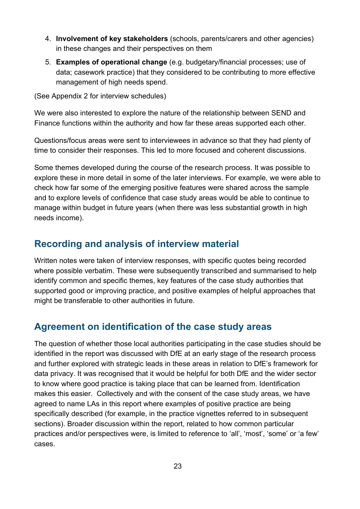- 4. **Involvement of key stakeholders** (schools, parents/carers and other agencies) in these changes and their perspectives on them
- 5. **Examples of operational change** (e.g. budgetary/financial processes; use of data; casework practice) that they considered to be contributing to more effective management of high needs spend.

(See Appendix 2 for interview schedules)

We were also interested to explore the nature of the relationship between SEND and Finance functions within the authority and how far these areas supported each other.

Questions/focus areas were sent to interviewees in advance so that they had plenty of time to consider their responses. This led to more focused and coherent discussions.

Some themes developed during the course of the research process. It was possible to explore these in more detail in some of the later interviews. For example, we were able to check how far some of the emerging positive features were shared across the sample and to explore levels of confidence that case study areas would be able to continue to manage within budget in future years (when there was less substantial growth in high needs income).

## <span id="page-22-0"></span>**Recording and analysis of interview material**

Written notes were taken of interview responses, with specific quotes being recorded where possible verbatim. These were subsequently transcribed and summarised to help identify common and specific themes, key features of the case study authorities that supported good or improving practice, and positive examples of helpful approaches that might be transferable to other authorities in future.

## <span id="page-22-1"></span>**Agreement on identification of the case study areas**

The question of whether those local authorities participating in the case studies should be identified in the report was discussed with DfE at an early stage of the research process and further explored with strategic leads in these areas in relation to DfE's framework for data privacy. It was recognised that it would be helpful for both DfE and the wider sector to know where good practice is taking place that can be learned from. Identification makes this easier. Collectively and with the consent of the case study areas, we have agreed to name LAs in this report where examples of positive practice are being specifically described (for example, in the practice vignettes referred to in subsequent sections). Broader discussion within the report, related to how common particular practices and/or perspectives were, is limited to reference to 'all', 'most', 'some' or 'a few' cases.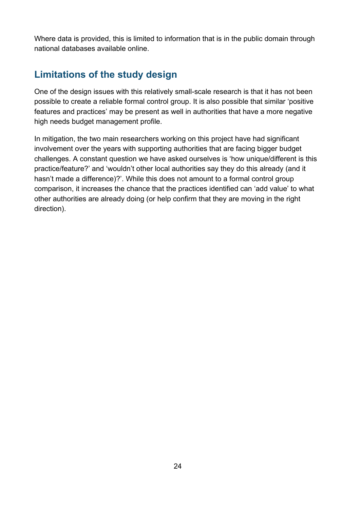Where data is provided, this is limited to information that is in the public domain through national databases available online.

## <span id="page-23-0"></span>**Limitations of the study design**

One of the design issues with this relatively small-scale research is that it has not been possible to create a reliable formal control group. It is also possible that similar 'positive features and practices' may be present as well in authorities that have a more negative high needs budget management profile.

In mitigation, the two main researchers working on this project have had significant involvement over the years with supporting authorities that are facing bigger budget challenges. A constant question we have asked ourselves is 'how unique/different is this practice/feature?' and 'wouldn't other local authorities say they do this already (and it hasn't made a difference)?'. While this does not amount to a formal control group comparison, it increases the chance that the practices identified can 'add value' to what other authorities are already doing (or help confirm that they are moving in the right direction).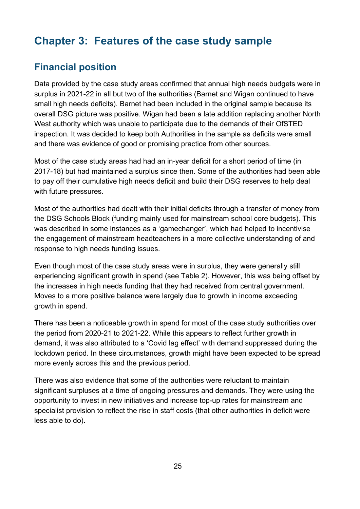## <span id="page-24-0"></span>**Chapter 3: Features of the case study sample**

## <span id="page-24-1"></span>**Financial position**

Data provided by the case study areas confirmed that annual high needs budgets were in surplus in 2021-22 in all but two of the authorities (Barnet and Wigan continued to have small high needs deficits). Barnet had been included in the original sample because its overall DSG picture was positive. Wigan had been a late addition replacing another North West authority which was unable to participate due to the demands of their OfSTED inspection. It was decided to keep both Authorities in the sample as deficits were small and there was evidence of good or promising practice from other sources.

Most of the case study areas had had an in-year deficit for a short period of time (in 2017-18) but had maintained a surplus since then. Some of the authorities had been able to pay off their cumulative high needs deficit and build their DSG reserves to help deal with future pressures.

Most of the authorities had dealt with their initial deficits through a transfer of money from the DSG Schools Block (funding mainly used for mainstream school core budgets). This was described in some instances as a 'gamechanger', which had helped to incentivise the engagement of mainstream headteachers in a more collective understanding of and response to high needs funding issues.

Even though most of the case study areas were in surplus, they were generally still experiencing significant growth in spend (see Table 2). However, this was being offset by the increases in high needs funding that they had received from central government. Moves to a more positive balance were largely due to growth in income exceeding growth in spend.

There has been a noticeable growth in spend for most of the case study authorities over the period from 2020-21 to 2021-22. While this appears to reflect further growth in demand, it was also attributed to a 'Covid lag effect' with demand suppressed during the lockdown period. In these circumstances, growth might have been expected to be spread more evenly across this and the previous period.

There was also evidence that some of the authorities were reluctant to maintain significant surpluses at a time of ongoing pressures and demands. They were using the opportunity to invest in new initiatives and increase top-up rates for mainstream and specialist provision to reflect the rise in staff costs (that other authorities in deficit were less able to do).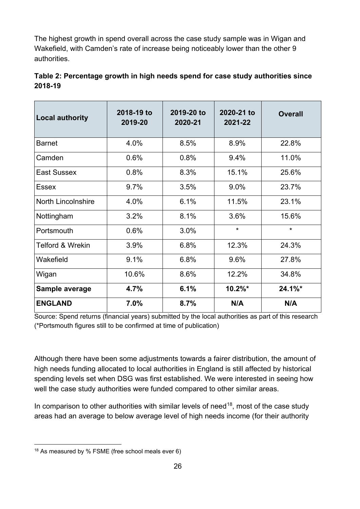The highest growth in spend overall across the case study sample was in Wigan and Wakefield, with Camden's rate of increase being noticeably lower than the other 9 authorities.

| <b>Local authority</b>      | 2018-19 to<br>2019-20 | 2019-20 to<br>2020-21 | 2020-21 to<br>2021-22 | <b>Overall</b> |
|-----------------------------|-----------------------|-----------------------|-----------------------|----------------|
| <b>Barnet</b>               | 4.0%                  | 8.5%                  | 8.9%                  | 22.8%          |
| Camden                      | 0.6%                  | 0.8%                  | 9.4%                  | 11.0%          |
| East Sussex                 | 0.8%                  | 8.3%                  | 15.1%                 | 25.6%          |
| <b>Essex</b>                | 9.7%                  | 3.5%                  | 9.0%                  | 23.7%          |
| <b>North Lincolnshire</b>   | 4.0%                  | 6.1%                  | 11.5%                 | 23.1%          |
| Nottingham                  | 3.2%                  | 8.1%                  | 3.6%                  | 15.6%          |
| Portsmouth                  | 0.6%                  | 3.0%                  | $\star$               | $\star$        |
| <b>Telford &amp; Wrekin</b> | 3.9%                  | 6.8%                  | 12.3%                 | 24.3%          |
| Wakefield                   | 9.1%                  | 6.8%                  | 9.6%                  | 27.8%          |
| Wigan                       | 10.6%                 | 8.6%                  | 12.2%                 | 34.8%          |
| Sample average              | 4.7%                  | 6.1%                  | $10.2\%$ *            | $24.1\%$ *     |
| <b>ENGLAND</b>              | 7.0%                  | 8.7%                  | N/A                   | N/A            |

<span id="page-25-0"></span>

| Table 2: Percentage growth in high needs spend for case study authorities since |  |
|---------------------------------------------------------------------------------|--|
| 2018-19                                                                         |  |

Source: Spend returns (financial years) submitted by the local authorities as part of this research (\*Portsmouth figures still to be confirmed at time of publication)

Although there have been some adjustments towards a fairer distribution, the amount of high needs funding allocated to local authorities in England is still affected by historical spending levels set when DSG was first established. We were interested in seeing how well the case study authorities were funded compared to other similar areas.

In comparison to other authorities with similar levels of need<sup>[18](#page-25-1)</sup>, most of the case study areas had an average to below average level of high needs income (for their authority

<span id="page-25-1"></span><sup>18</sup> As measured by % FSME (free school meals ever 6)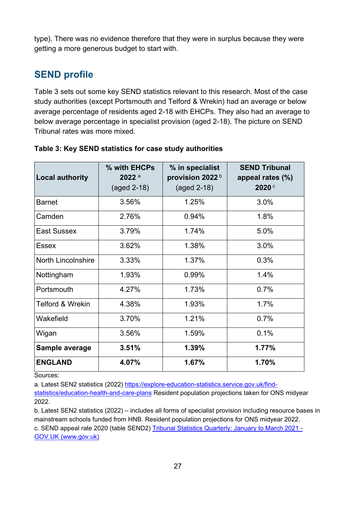type). There was no evidence therefore that they were in surplus because they were getting a more generous budget to start with.

## <span id="page-26-0"></span>**SEND profile**

Table 3 sets out some key SEND statistics relevant to this research. Most of the case study authorities (except Portsmouth and Telford & Wrekin) had an average or below average percentage of residents aged 2-18 with EHCPs. They also had an average to below average percentage in specialist provision (aged 2-18). The picture on SEND Tribunal rates was more mixed.

| <b>Local authority</b>      | % with EHCPs<br>$2022$ <sup>a</sup><br>(aged 2-18) | % in specialist<br>provision 2022b<br>(aged 2-18) | <b>SEND Tribunal</b><br>appeal rates (%)<br>2020 |
|-----------------------------|----------------------------------------------------|---------------------------------------------------|--------------------------------------------------|
| <b>Barnet</b>               | 3.56%                                              | 1.25%                                             | 3.0%                                             |
| Camden                      | 2.76%                                              | 0.94%                                             | 1.8%                                             |
| East Sussex                 | 3.79%                                              | 1.74%                                             | 5.0%                                             |
| Essex                       | 3.62%                                              | 1.38%                                             | 3.0%                                             |
| <b>North Lincolnshire</b>   | 3.33%                                              | 1.37%                                             | 0.3%                                             |
| Nottingham                  | 1.93%                                              | 0.99%                                             | 1.4%                                             |
| Portsmouth                  | 4.27%                                              | 1.73%                                             | 0.7%                                             |
| <b>Telford &amp; Wrekin</b> | 4.38%                                              | 1.93%                                             | 1.7%                                             |
| Wakefield                   | 3.70%                                              | 1.21%                                             | 0.7%                                             |
| Wigan                       | 3.56%                                              | 1.59%                                             | 0.1%                                             |
| Sample average              | 3.51%                                              | 1.39%                                             | 1.77%                                            |
| <b>ENGLAND</b>              | 4.07%                                              | 1.67%                                             | 1.70%                                            |

<span id="page-26-1"></span>

| Table 3: Key SEND statistics for case study authorities |  |  |  |
|---------------------------------------------------------|--|--|--|
|---------------------------------------------------------|--|--|--|

Sources:

a. Latest SEN2 statistics (2022) [https://explore-education-statistics.service.gov.uk/find-](https://explore-education-statistics.service.gov.uk/find-statistics/education-health-and-care-plans)

[statistics/education-health-and-care-plans](https://explore-education-statistics.service.gov.uk/find-statistics/education-health-and-care-plans) Resident population projections taken for ONS midyear 2022.

b. Latest SEN2 statistics (2022) – includes all forms of specialist provision including resource bases in mainstream schools funded from HNB. Resident population projections for ONS midyear 2022.

c. SEND appeal rate 2020 (table SEND2) Tribunal Statistics Quarterly: January to March 2021 -[GOV.UK \(www.gov.uk\)](https://www.gov.uk/government/statistics/tribunal-statistics-quarterly-january-to-march-2021)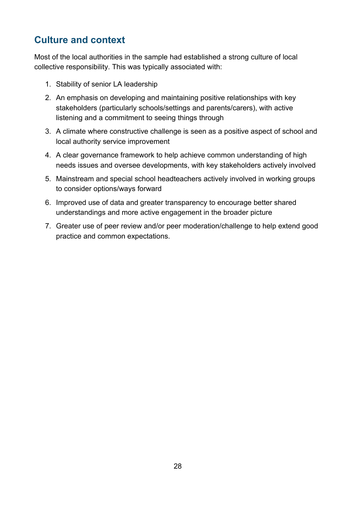## <span id="page-27-0"></span>**Culture and context**

Most of the local authorities in the sample had established a strong culture of local collective responsibility. This was typically associated with:

- 1. Stability of senior LA leadership
- 2. An emphasis on developing and maintaining positive relationships with key stakeholders (particularly schools/settings and parents/carers), with active listening and a commitment to seeing things through
- 3. A climate where constructive challenge is seen as a positive aspect of school and local authority service improvement
- 4. A clear governance framework to help achieve common understanding of high needs issues and oversee developments, with key stakeholders actively involved
- 5. Mainstream and special school headteachers actively involved in working groups to consider options/ways forward
- 6. Improved use of data and greater transparency to encourage better shared understandings and more active engagement in the broader picture
- 7. Greater use of peer review and/or peer moderation/challenge to help extend good practice and common expectations.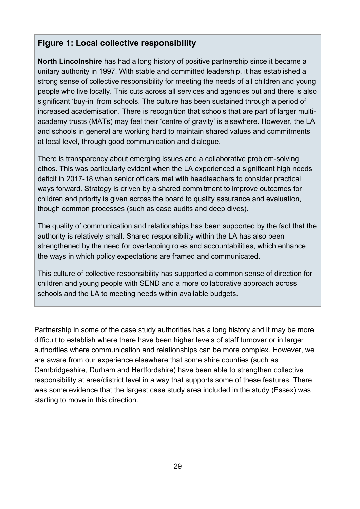#### <span id="page-28-0"></span>**Figure 1: Local collective responsibility**

**North Lincolnshire** has had a long history of positive partnership since it became a unitary authority in 1997. With stable and committed leadership, it has established a strong sense of collective responsibility for meeting the needs of all children and young people who live locally. This cuts across all services and agencies but and there is also significant 'buy-in' from schools. The culture has been sustained through a period of increased academisation. There is recognition that schools that are part of larger multiacademy trusts (MATs) may feel their 'centre of gravity' is elsewhere. However, the LA and schools in general are working hard to maintain shared values and commitments at local level, through good communication and dialogue.

There is transparency about emerging issues and a collaborative problem-solving ethos. This was particularly evident when the LA experienced a significant high needs deficit in 2017-18 when senior officers met with headteachers to consider practical ways forward. Strategy is driven by a shared commitment to improve outcomes for children and priority is given across the board to quality assurance and evaluation, though common processes (such as case audits and deep dives).

The quality of communication and relationships has been supported by the fact that the authority is relatively small. Shared responsibility within the LA has also been strengthened by the need for overlapping roles and accountabilities, which enhance the ways in which policy expectations are framed and communicated.

This culture of collective responsibility has supported a common sense of direction for children and young people with SEND and a more collaborative approach across schools and the LA to meeting needs within available budgets.

Partnership in some of the case study authorities has a long history and it may be more difficult to establish where there have been higher levels of staff turnover or in larger authorities where communication and relationships can be more complex. However, we are aware from our experience elsewhere that some shire counties (such as Cambridgeshire, Durham and Hertfordshire) have been able to strengthen collective responsibility at area/district level in a way that supports some of these features. There was some evidence that the largest case study area included in the study (Essex) was starting to move in this direction.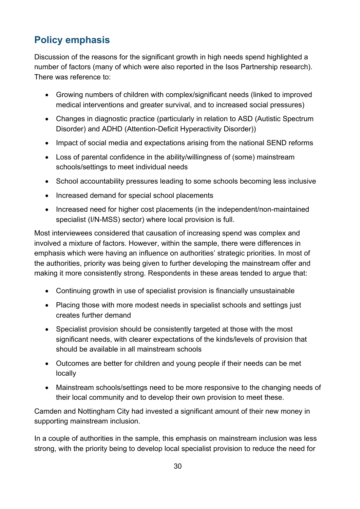## <span id="page-29-0"></span>**Policy emphasis**

Discussion of the reasons for the significant growth in high needs spend highlighted a number of factors (many of which were also reported in the Isos Partnership research). There was reference to:

- Growing numbers of children with complex/significant needs (linked to improved medical interventions and greater survival, and to increased social pressures)
- Changes in diagnostic practice (particularly in relation to ASD (Autistic Spectrum Disorder) and ADHD (Attention-Deficit Hyperactivity Disorder))
- Impact of social media and expectations arising from the national SEND reforms
- Loss of parental confidence in the ability/willingness of (some) mainstream schools/settings to meet individual needs
- School accountability pressures leading to some schools becoming less inclusive
- Increased demand for special school placements
- Increased need for higher cost placements (in the independent/non-maintained specialist (I/N-MSS) sector) where local provision is full.

Most interviewees considered that causation of increasing spend was complex and involved a mixture of factors. However, within the sample, there were differences in emphasis which were having an influence on authorities' strategic priorities. In most of the authorities, priority was being given to further developing the mainstream offer and making it more consistently strong. Respondents in these areas tended to argue that:

- Continuing growth in use of specialist provision is financially unsustainable
- Placing those with more modest needs in specialist schools and settings just creates further demand
- Specialist provision should be consistently targeted at those with the most significant needs, with clearer expectations of the kinds/levels of provision that should be available in all mainstream schools
- Outcomes are better for children and young people if their needs can be met locally
- Mainstream schools/settings need to be more responsive to the changing needs of their local community and to develop their own provision to meet these.

Camden and Nottingham City had invested a significant amount of their new money in supporting mainstream inclusion.

In a couple of authorities in the sample, this emphasis on mainstream inclusion was less strong, with the priority being to develop local specialist provision to reduce the need for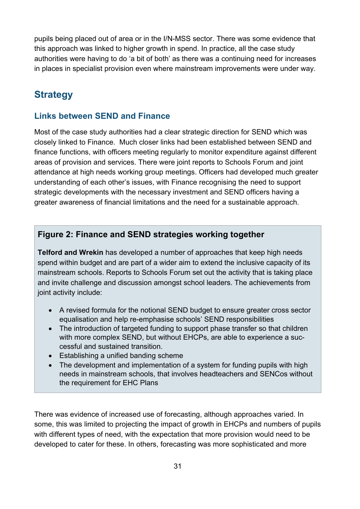pupils being placed out of area or in the I/N-MSS sector. There was some evidence that this approach was linked to higher growth in spend. In practice, all the case study authorities were having to do 'a bit of both' as there was a continuing need for increases in places in specialist provision even where mainstream improvements were under way.

## <span id="page-30-0"></span>**Strategy**

#### <span id="page-30-1"></span>**Links between SEND and Finance**

Most of the case study authorities had a clear strategic direction for SEND which was closely linked to Finance. Much closer links had been established between SEND and finance functions, with officers meeting regularly to monitor expenditure against different areas of provision and services. There were joint reports to Schools Forum and joint attendance at high needs working group meetings. Officers had developed much greater understanding of each other's issues, with Finance recognising the need to support strategic developments with the necessary investment and SEND officers having a greater awareness of financial limitations and the need for a sustainable approach.

#### <span id="page-30-2"></span>**Figure 2: Finance and SEND strategies working together**

**Telford and Wrekin** has developed a number of approaches that keep high needs spend within budget and are part of a wider aim to extend the inclusive capacity of its mainstream schools. Reports to Schools Forum set out the activity that is taking place and invite challenge and discussion amongst school leaders. The achievements from joint activity include:

- A revised formula for the notional SEND budget to ensure greater cross sector equalisation and help re-emphasise schools' SEND responsibilities
- The introduction of targeted funding to support phase transfer so that children with more complex SEND, but without EHCPs, are able to experience a successful and sustained transition.
- Establishing a unified banding scheme
- The development and implementation of a system for funding pupils with high needs in mainstream schools, that involves headteachers and SENCos without the requirement for EHC Plans

There was evidence of increased use of forecasting, although approaches varied. In some, this was limited to projecting the impact of growth in EHCPs and numbers of pupils with different types of need, with the expectation that more provision would need to be developed to cater for these. In others, forecasting was more sophisticated and more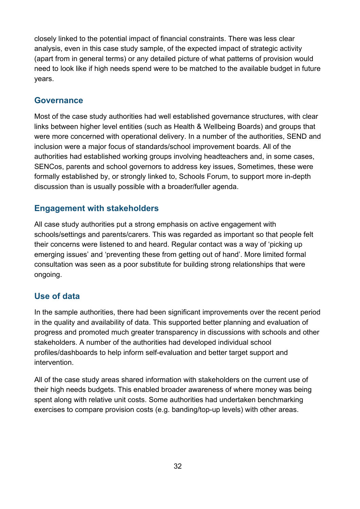closely linked to the potential impact of financial constraints. There was less clear analysis, even in this case study sample, of the expected impact of strategic activity (apart from in general terms) or any detailed picture of what patterns of provision would need to look like if high needs spend were to be matched to the available budget in future years.

#### <span id="page-31-0"></span>**Governance**

Most of the case study authorities had well established governance structures, with clear links between higher level entities (such as Health & Wellbeing Boards) and groups that were more concerned with operational delivery. In a number of the authorities, SEND and inclusion were a major focus of standards/school improvement boards. All of the authorities had established working groups involving headteachers and, in some cases, SENCos, parents and school governors to address key issues, Sometimes, these were formally established by, or strongly linked to, Schools Forum, to support more in-depth discussion than is usually possible with a broader/fuller agenda.

#### <span id="page-31-1"></span>**Engagement with stakeholders**

All case study authorities put a strong emphasis on active engagement with schools/settings and parents/carers. This was regarded as important so that people felt their concerns were listened to and heard. Regular contact was a way of 'picking up emerging issues' and 'preventing these from getting out of hand'. More limited formal consultation was seen as a poor substitute for building strong relationships that were ongoing.

#### <span id="page-31-2"></span>**Use of data**

In the sample authorities, there had been significant improvements over the recent period in the quality and availability of data. This supported better planning and evaluation of progress and promoted much greater transparency in discussions with schools and other stakeholders. A number of the authorities had developed individual school profiles/dashboards to help inform self-evaluation and better target support and intervention.

All of the case study areas shared information with stakeholders on the current use of their high needs budgets. This enabled broader awareness of where money was being spent along with relative unit costs. Some authorities had undertaken benchmarking exercises to compare provision costs (e.g. banding/top-up levels) with other areas.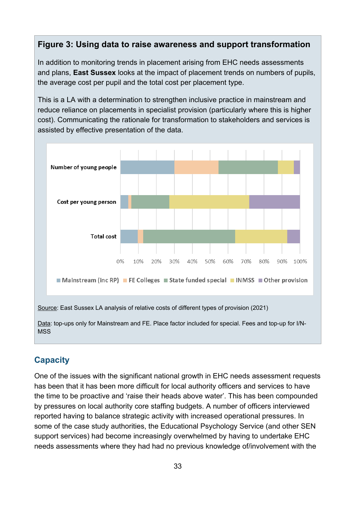#### <span id="page-32-0"></span>**Figure 3: Using data to raise awareness and support transformation**

In addition to monitoring trends in placement arising from EHC needs assessments and plans, **East Sussex** looks at the impact of placement trends on numbers of pupils, the average cost per pupil and the total cost per placement type.

This is a LA with a determination to strengthen inclusive practice in mainstream and reduce reliance on placements in specialist provision (particularly where this is higher cost). Communicating the rationale for transformation to stakeholders and services is assisted by effective presentation of the data.



#### **Capacity**

One of the issues with the significant national growth in EHC needs assessment requests has been that it has been more difficult for local authority officers and services to have the time to be proactive and 'raise their heads above water'. This has been compounded by pressures on local authority core staffing budgets. A number of officers interviewed reported having to balance strategic activity with increased operational pressures. In some of the case study authorities, the Educational Psychology Service (and other SEN support services) had become increasingly overwhelmed by having to undertake EHC needs assessments where they had had no previous knowledge of/involvement with the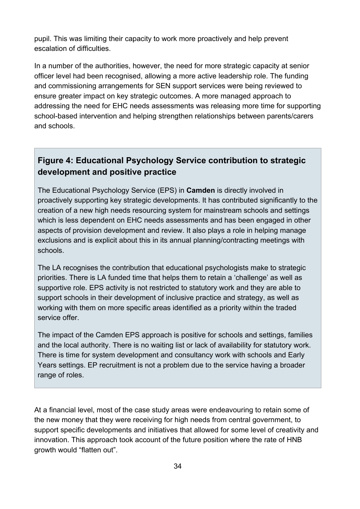pupil. This was limiting their capacity to work more proactively and help prevent escalation of difficulties.

In a number of the authorities, however, the need for more strategic capacity at senior officer level had been recognised, allowing a more active leadership role. The funding and commissioning arrangements for SEN support services were being reviewed to ensure greater impact on key strategic outcomes. A more managed approach to addressing the need for EHC needs assessments was releasing more time for supporting school-based intervention and helping strengthen relationships between parents/carers and schools.

## <span id="page-33-0"></span>**Figure 4: Educational Psychology Service contribution to strategic development and positive practice**

The Educational Psychology Service (EPS) in **Camden** is directly involved in proactively supporting key strategic developments. It has contributed significantly to the creation of a new high needs resourcing system for mainstream schools and settings which is less dependent on EHC needs assessments and has been engaged in other aspects of provision development and review. It also plays a role in helping manage exclusions and is explicit about this in its annual planning/contracting meetings with schools.

The LA recognises the contribution that educational psychologists make to strategic priorities. There is LA funded time that helps them to retain a 'challenge' as well as supportive role. EPS activity is not restricted to statutory work and they are able to support schools in their development of inclusive practice and strategy, as well as working with them on more specific areas identified as a priority within the traded service offer.

The impact of the Camden EPS approach is positive for schools and settings, families and the local authority. There is no waiting list or lack of availability for statutory work. There is time for system development and consultancy work with schools and Early Years settings. EP recruitment is not a problem due to the service having a broader range of roles.

At a financial level, most of the case study areas were endeavouring to retain some of the new money that they were receiving for high needs from central government, to support specific developments and initiatives that allowed for some level of creativity and innovation. This approach took account of the future position where the rate of HNB growth would "flatten out".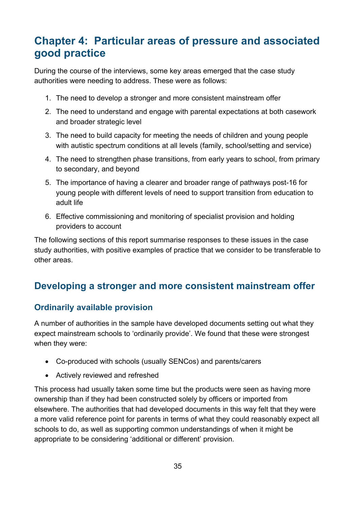## <span id="page-34-0"></span>**Chapter 4: Particular areas of pressure and associated good practice**

During the course of the interviews, some key areas emerged that the case study authorities were needing to address. These were as follows:

- 1. The need to develop a stronger and more consistent mainstream offer
- 2. The need to understand and engage with parental expectations at both casework and broader strategic level
- 3. The need to build capacity for meeting the needs of children and young people with autistic spectrum conditions at all levels (family, school/setting and service)
- 4. The need to strengthen phase transitions, from early years to school, from primary to secondary, and beyond
- 5. The importance of having a clearer and broader range of pathways post-16 for young people with different levels of need to support transition from education to adult life
- 6. Effective commissioning and monitoring of specialist provision and holding providers to account

The following sections of this report summarise responses to these issues in the case study authorities, with positive examples of practice that we consider to be transferable to other areas.

## <span id="page-34-1"></span>**Developing a stronger and more consistent mainstream offer**

#### <span id="page-34-2"></span>**Ordinarily available provision**

A number of authorities in the sample have developed documents setting out what they expect mainstream schools to 'ordinarily provide'. We found that these were strongest when they were:

- Co-produced with schools (usually SENCos) and parents/carers
- Actively reviewed and refreshed

This process had usually taken some time but the products were seen as having more ownership than if they had been constructed solely by officers or imported from elsewhere. The authorities that had developed documents in this way felt that they were a more valid reference point for parents in terms of what they could reasonably expect all schools to do, as well as supporting common understandings of when it might be appropriate to be considering 'additional or different' provision.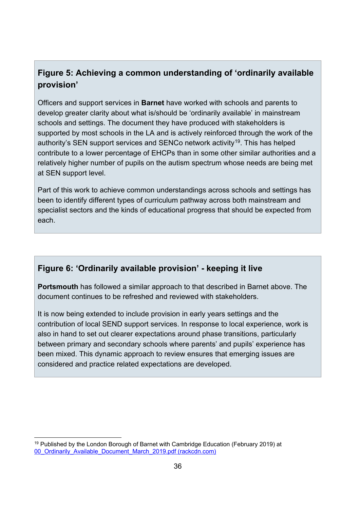## <span id="page-35-0"></span>**Figure 5: Achieving a common understanding of 'ordinarily available provision'**

Officers and support services in **Barnet** have worked with schools and parents to develop greater clarity about what is/should be 'ordinarily available' in mainstream schools and settings. The document they have produced with stakeholders is supported by most schools in the LA and is actively reinforced through the work of the authority's SEN support services and SENCo network activity<sup>[19](#page-35-2)</sup>. This has helped contribute to a lower percentage of EHCPs than in some other similar authorities and a relatively higher number of pupils on the autism spectrum whose needs are being met at SEN support level.

Part of this work to achieve common understandings across schools and settings has been to identify different types of curriculum pathway across both mainstream and specialist sectors and the kinds of educational progress that should be expected from each.

#### <span id="page-35-1"></span>**Figure 6: 'Ordinarily available provision' - keeping it live**

**Portsmouth** has followed a similar approach to that described in Barnet above. The document continues to be refreshed and reviewed with stakeholders.

It is now being extended to include provision in early years settings and the contribution of local SEND support services. In response to local experience, work is also in hand to set out clearer expectations around phase transitions, particularly between primary and secondary schools where parents' and pupils' experience has been mixed. This dynamic approach to review ensures that emerging issues are considered and practice related expectations are developed.

<span id="page-35-2"></span> $19$  Published by the London Borough of Barnet with Cambridge Education (February 2019) at [00\\_Ordinarily\\_Available\\_Document\\_March\\_2019.pdf \(rackcdn.com\)](https://5f2fe3253cd1dfa0d089-bf8b2cdb6a1dc2999fecbc372702016c.ssl.cf3.rackcdn.com/uploads/ckeditor/attachments/5860/00_Ordinarily_Available_Document_March_2019.pdf)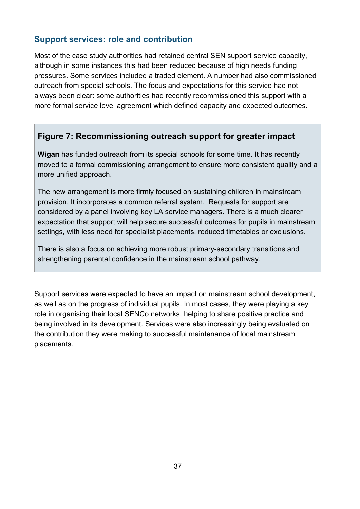### **Support services: role and contribution**

Most of the case study authorities had retained central SEN support service capacity, although in some instances this had been reduced because of high needs funding pressures. Some services included a traded element. A number had also commissioned outreach from special schools. The focus and expectations for this service had not always been clear: some authorities had recently recommissioned this support with a more formal service level agreement which defined capacity and expected outcomes.

### **Figure 7: Recommissioning outreach support for greater impact**

**Wigan** has funded outreach from its special schools for some time. It has recently moved to a formal commissioning arrangement to ensure more consistent quality and a more unified approach.

The new arrangement is more firmly focused on sustaining children in mainstream provision. It incorporates a common referral system. Requests for support are considered by a panel involving key LA service managers. There is a much clearer expectation that support will help secure successful outcomes for pupils in mainstream settings, with less need for specialist placements, reduced timetables or exclusions.

There is also a focus on achieving more robust primary-secondary transitions and strengthening parental confidence in the mainstream school pathway.

Support services were expected to have an impact on mainstream school development, as well as on the progress of individual pupils. In most cases, they were playing a key role in organising their local SENCo networks, helping to share positive practice and being involved in its development. Services were also increasingly being evaluated on the contribution they were making to successful maintenance of local mainstream placements.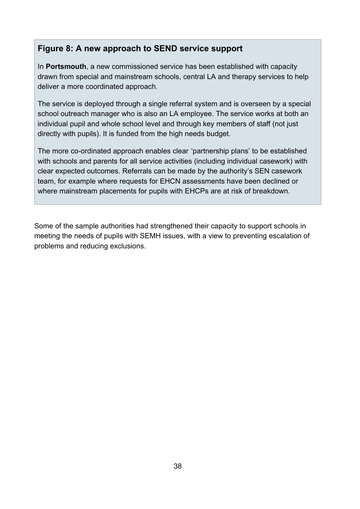#### **Figure 8: A new approach to SEND service support**

In **Portsmouth**, a new commissioned service has been established with capacity drawn from special and mainstream schools, central LA and therapy services to help deliver a more coordinated approach.

The service is deployed through a single referral system and is overseen by a special school outreach manager who is also an LA employee. The service works at both an individual pupil and whole school level and through key members of staff (not just directly with pupils). It is funded from the high needs budget.

The more co-ordinated approach enables clear 'partnership plans' to be established with schools and parents for all service activities (including individual casework) with clear expected outcomes. Referrals can be made by the authority's SEN casework team, for example where requests for EHCN assessments have been declined or where mainstream placements for pupils with EHCPs are at risk of breakdown.

Some of the sample authorities had strengthened their capacity to support schools in meeting the needs of pupils with SEMH issues, with a view to preventing escalation of problems and reducing exclusions.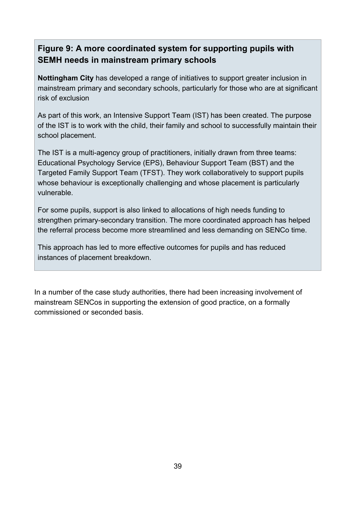### **Figure 9: A more coordinated system for supporting pupils with SEMH needs in mainstream primary schools**

**Nottingham City** has developed a range of initiatives to support greater inclusion in mainstream primary and secondary schools, particularly for those who are at significant risk of exclusion

As part of this work, an Intensive Support Team (IST) has been created. The purpose of the IST is to work with the child, their family and school to successfully maintain their school placement.

The IST is a multi-agency group of practitioners, initially drawn from three teams: Educational Psychology Service (EPS), Behaviour Support Team (BST) and the Targeted Family Support Team (TFST). They work collaboratively to support pupils whose behaviour is exceptionally challenging and whose placement is particularly vulnerable.

For some pupils, support is also linked to allocations of high needs funding to strengthen primary-secondary transition. The more coordinated approach has helped the referral process become more streamlined and less demanding on SENCo time.

This approach has led to more effective outcomes for pupils and has reduced instances of placement breakdown.

In a number of the case study authorities, there had been increasing involvement of mainstream SENCos in supporting the extension of good practice, on a formally commissioned or seconded basis.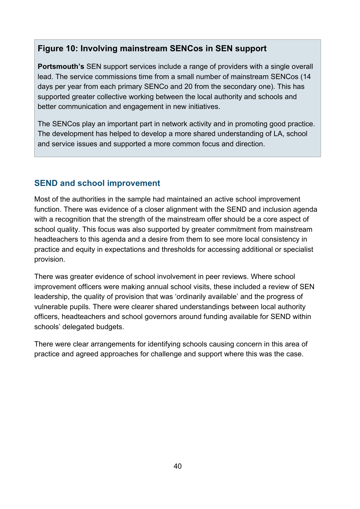#### **Figure 10: Involving mainstream SENCos in SEN support**

**Portsmouth's** SEN support services include a range of providers with a single overall lead. The service commissions time from a small number of mainstream SENCos (14 days per year from each primary SENCo and 20 from the secondary one). This has supported greater collective working between the local authority and schools and better communication and engagement in new initiatives.

The SENCos play an important part in network activity and in promoting good practice. The development has helped to develop a more shared understanding of LA, school and service issues and supported a more common focus and direction.

### **SEND and school improvement**

Most of the authorities in the sample had maintained an active school improvement function. There was evidence of a closer alignment with the SEND and inclusion agenda with a recognition that the strength of the mainstream offer should be a core aspect of school quality. This focus was also supported by greater commitment from mainstream headteachers to this agenda and a desire from them to see more local consistency in practice and equity in expectations and thresholds for accessing additional or specialist provision.

There was greater evidence of school involvement in peer reviews. Where school improvement officers were making annual school visits, these included a review of SEN leadership, the quality of provision that was 'ordinarily available' and the progress of vulnerable pupils. There were clearer shared understandings between local authority officers, headteachers and school governors around funding available for SEND within schools' delegated budgets.

There were clear arrangements for identifying schools causing concern in this area of practice and agreed approaches for challenge and support where this was the case.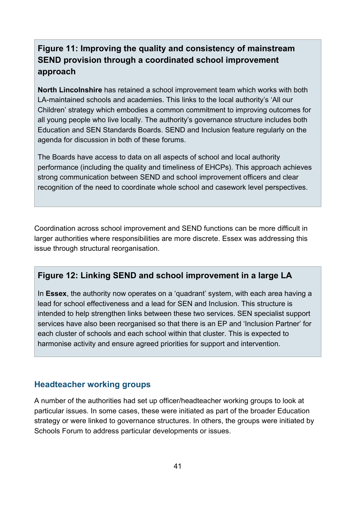### **Figure 11: Improving the quality and consistency of mainstream SEND provision through a coordinated school improvement approach**

**North Lincolnshire** has retained a school improvement team which works with both LA-maintained schools and academies. This links to the local authority's 'All our Children' strategy which embodies a common commitment to improving outcomes for all young people who live locally. The authority's governance structure includes both Education and SEN Standards Boards. SEND and Inclusion feature regularly on the agenda for discussion in both of these forums.

The Boards have access to data on all aspects of school and local authority performance (including the quality and timeliness of EHCPs). This approach achieves strong communication between SEND and school improvement officers and clear recognition of the need to coordinate whole school and casework level perspectives.

Coordination across school improvement and SEND functions can be more difficult in larger authorities where responsibilities are more discrete. Essex was addressing this issue through structural reorganisation.

#### **Figure 12: Linking SEND and school improvement in a large LA**

In **Essex**, the authority now operates on a 'quadrant' system, with each area having a lead for school effectiveness and a lead for SEN and Inclusion. This structure is intended to help strengthen links between these two services. SEN specialist support services have also been reorganised so that there is an EP and 'Inclusion Partner' for each cluster of schools and each school within that cluster. This is expected to harmonise activity and ensure agreed priorities for support and intervention.

#### **Headteacher working groups**

A number of the authorities had set up officer/headteacher working groups to look at particular issues. In some cases, these were initiated as part of the broader Education strategy or were linked to governance structures. In others, the groups were initiated by Schools Forum to address particular developments or issues.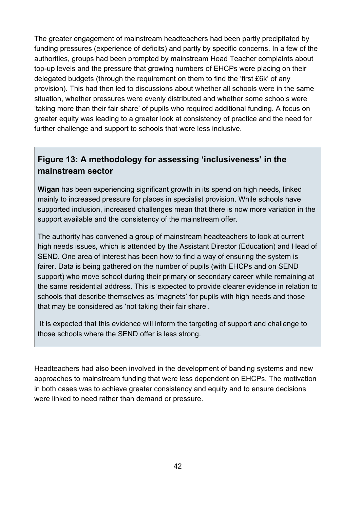The greater engagement of mainstream headteachers had been partly precipitated by funding pressures (experience of deficits) and partly by specific concerns. In a few of the authorities, groups had been prompted by mainstream Head Teacher complaints about top-up levels and the pressure that growing numbers of EHCPs were placing on their delegated budgets (through the requirement on them to find the 'first £6k' of any provision). This had then led to discussions about whether all schools were in the same situation, whether pressures were evenly distributed and whether some schools were 'taking more than their fair share' of pupils who required additional funding. A focus on greater equity was leading to a greater look at consistency of practice and the need for further challenge and support to schools that were less inclusive.

### **Figure 13: A methodology for assessing 'inclusiveness' in the mainstream sector**

**Wigan** has been experiencing significant growth in its spend on high needs, linked mainly to increased pressure for places in specialist provision. While schools have supported inclusion, increased challenges mean that there is now more variation in the support available and the consistency of the mainstream offer.

The authority has convened a group of mainstream headteachers to look at current high needs issues, which is attended by the Assistant Director (Education) and Head of SEND. One area of interest has been how to find a way of ensuring the system is fairer. Data is being gathered on the number of pupils (with EHCPs and on SEND support) who move school during their primary or secondary career while remaining at the same residential address. This is expected to provide clearer evidence in relation to schools that describe themselves as 'magnets' for pupils with high needs and those that may be considered as 'not taking their fair share'.

It is expected that this evidence will inform the targeting of support and challenge to those schools where the SEND offer is less strong.

Headteachers had also been involved in the development of banding systems and new approaches to mainstream funding that were less dependent on EHCPs. The motivation in both cases was to achieve greater consistency and equity and to ensure decisions were linked to need rather than demand or pressure.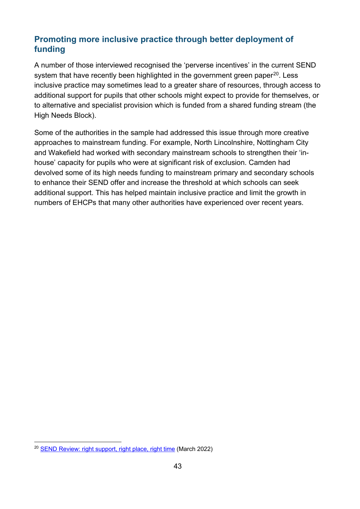### **Promoting more inclusive practice through better deployment of funding**

A number of those interviewed recognised the 'perverse incentives' in the current SEND system that have recently been highlighted in the government green paper<sup>[20](#page-42-0)</sup>. Less inclusive practice may sometimes lead to a greater share of resources, through access to additional support for pupils that other schools might expect to provide for themselves, or to alternative and specialist provision which is funded from a shared funding stream (the High Needs Block).

Some of the authorities in the sample had addressed this issue through more creative approaches to mainstream funding. For example, North Lincolnshire, Nottingham City and Wakefield had worked with secondary mainstream schools to strengthen their 'inhouse' capacity for pupils who were at significant risk of exclusion. Camden had devolved some of its high needs funding to mainstream primary and secondary schools to enhance their SEND offer and increase the threshold at which schools can seek additional support. This has helped maintain inclusive practice and limit the growth in numbers of EHCPs that many other authorities have experienced over recent years.

<span id="page-42-0"></span><sup>20</sup> [SEND Review: right support, right place, right time](https://www.gov.uk/government/consultations/send-review-right-support-right-place-right-time) (March 2022)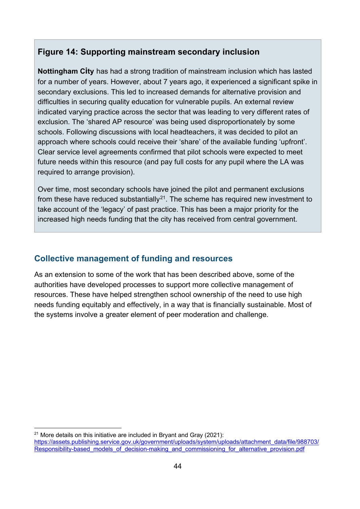#### **Figure 14: Supporting mainstream secondary inclusion**

**Nottingham City** has had a strong tradition of mainstream inclusion which has lasted for a number of years. However, about 7 years ago, it experienced a significant spike in secondary exclusions. This led to increased demands for alternative provision and difficulties in securing quality education for vulnerable pupils. An external review indicated varying practice across the sector that was leading to very different rates of exclusion. The 'shared AP resource' was being used disproportionately by some schools. Following discussions with local headteachers, it was decided to pilot an approach where schools could receive their 'share' of the available funding 'upfront'. Clear service level agreements confirmed that pilot schools were expected to meet future needs within this resource (and pay full costs for any pupil where the LA was required to arrange provision).

Over time, most secondary schools have joined the pilot and permanent exclusions from these have reduced substantially<sup>21</sup>. The scheme has required new investment to take account of the 'legacy' of past practice. This has been a major priority for the increased high needs funding that the city has received from central government.

#### **Collective management of funding and resources**

As an extension to some of the work that has been described above, some of the authorities have developed processes to support more collective management of resources. These have helped strengthen school ownership of the need to use high needs funding equitably and effectively, in a way that is financially sustainable. Most of the systems involve a greater element of peer moderation and challenge.

<span id="page-43-0"></span><sup>&</sup>lt;sup>21</sup> More details on this initiative are included in Brvant and Gray (2021): [https://assets.publishing.service.gov.uk/government/uploads/system/uploads/attachment\\_data/file/988703/](https://assets.publishing.service.gov.uk/government/uploads/system/uploads/attachment_data/file/988703/Responsibility-based_models_of_decision-making_and_commissioning_for_alternative_provision.pdf) Responsibility-based\_models\_of\_decision-making\_and\_commissioning\_for\_alternative\_provision.pdf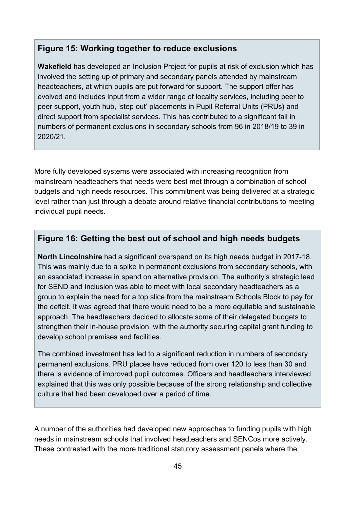#### **Figure 15: Working together to reduce exclusions**

**Wakefield** has developed an Inclusion Project for pupils at risk of exclusion which has involved the setting up of primary and secondary panels attended by mainstream headteachers, at which pupils are put forward for support. The support offer has evolved and includes input from a wider range of locality services, including peer to peer support, youth hub, 'step out' placements in Pupil Referral Units (PRUs**)** and direct support from specialist services. This has contributed to a significant fall in numbers of permanent exclusions in secondary schools from 96 in 2018/19 to 39 in 2020/21.

More fully developed systems were associated with increasing recognition from mainstream headteachers that needs were best met through a combination of school budgets and high needs resources. This commitment was being delivered at a strategic level rather than just through a debate around relative financial contributions to meeting individual pupil needs.

#### **Figure 16: Getting the best out of school and high needs budgets**

**North Lincolnshire** had a significant overspend on its high needs budget in 2017-18. This was mainly due to a spike in permanent exclusions from secondary schools, with an associated increase in spend on alternative provision. The authority's strategic lead for SEND and Inclusion was able to meet with local secondary headteachers as a group to explain the need for a top slice from the mainstream Schools Block to pay for the deficit. It was agreed that there would need to be a more equitable and sustainable approach. The headteachers decided to allocate some of their delegated budgets to strengthen their in-house provision, with the authority securing capital grant funding to develop school premises and facilities.

The combined investment has led to a significant reduction in numbers of secondary permanent exclusions. PRU places have reduced from over 120 to less than 30 and there is evidence of improved pupil outcomes. Officers and headteachers interviewed explained that this was only possible because of the strong relationship and collective culture that had been developed over a period of time.

A number of the authorities had developed new approaches to funding pupils with high needs in mainstream schools that involved headteachers and SENCos more actively. These contrasted with the more traditional statutory assessment panels where the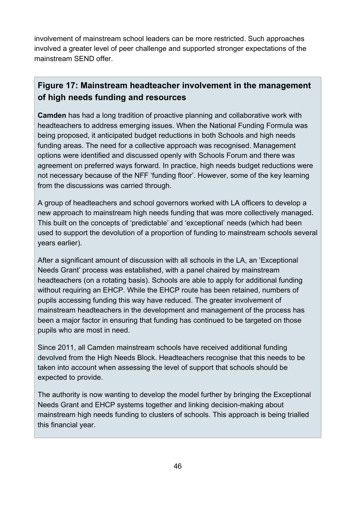involvement of mainstream school leaders can be more restricted. Such approaches involved a greater level of peer challenge and supported stronger expectations of the mainstream SEND offer.

### **Figure 17: Mainstream headteacher involvement in the management of high needs funding and resources**

**Camden** has had a long tradition of proactive planning and collaborative work with headteachers to address emerging issues. When the National Funding Formula was being proposed, it anticipated budget reductions in both Schools and high needs funding areas. The need for a collective approach was recognised. Management options were identified and discussed openly with Schools Forum and there was agreement on preferred ways forward. In practice, high needs budget reductions were not necessary because of the NFF 'funding floor'. However, some of the key learning from the discussions was carried through.

A group of headteachers and school governors worked with LA officers to develop a new approach to mainstream high needs funding that was more collectively managed. This built on the concepts of 'predictable' and 'exceptional' needs (which had been used to support the devolution of a proportion of funding to mainstream schools several years earlier).

After a significant amount of discussion with all schools in the LA, an 'Exceptional Needs Grant' process was established, with a panel chaired by mainstream headteachers (on a rotating basis). Schools are able to apply for additional funding without requiring an EHCP. While the EHCP route has been retained, numbers of pupils accessing funding this way have reduced. The greater involvement of mainstream headteachers in the development and management of the process has been a major factor in ensuring that funding has continued to be targeted on those pupils who are most in need.

Since 2011, all Camden mainstream schools have received additional funding devolved from the High Needs Block. Headteachers recognise that this needs to be taken into account when assessing the level of support that schools should be expected to provide.

The authority is now wanting to develop the model further by bringing the Exceptional Needs Grant and EHCP systems together and linking decision-making about mainstream high needs funding to clusters of schools. This approach is being trialled this financial year.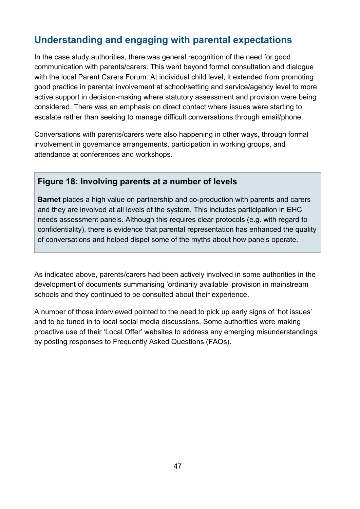# **Understanding and engaging with parental expectations**

In the case study authorities, there was general recognition of the need for good communication with parents/carers. This went beyond formal consultation and dialogue with the local Parent Carers Forum. At individual child level, it extended from promoting good practice in parental involvement at school/setting and service/agency level to more active support in decision-making where statutory assessment and provision were being considered. There was an emphasis on direct contact where issues were starting to escalate rather than seeking to manage difficult conversations through email/phone.

Conversations with parents/carers were also happening in other ways, through formal involvement in governance arrangements, participation in working groups, and attendance at conferences and workshops.

#### **Figure 18: Involving parents at a number of levels**

**Barnet** places a high value on partnership and co-production with parents and carers and they are involved at all levels of the system. This includes participation in EHC needs assessment panels. Although this requires clear protocols (e.g. with regard to confidentiality), there is evidence that parental representation has enhanced the quality of conversations and helped dispel some of the myths about how panels operate.

As indicated above, parents/carers had been actively involved in some authorities in the development of documents summarising 'ordinarily available' provision in mainstream schools and they continued to be consulted about their experience.

A number of those interviewed pointed to the need to pick up early signs of 'hot issues' and to be tuned in to local social media discussions. Some authorities were making proactive use of their 'Local Offer' websites to address any emerging misunderstandings by posting responses to Frequently Asked Questions (FAQs).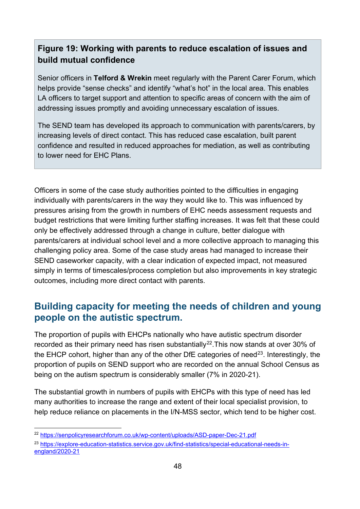### **Figure 19: Working with parents to reduce escalation of issues and build mutual confidence**

Senior officers in **Telford & Wrekin** meet regularly with the Parent Carer Forum, which helps provide "sense checks" and identify "what's hot" in the local area. This enables LA officers to target support and attention to specific areas of concern with the aim of addressing issues promptly and avoiding unnecessary escalation of issues.

The SEND team has developed its approach to communication with parents/carers, by increasing levels of direct contact. This has reduced case escalation, built parent confidence and resulted in reduced approaches for mediation, as well as contributing to lower need for EHC Plans.

Officers in some of the case study authorities pointed to the difficulties in engaging individually with parents/carers in the way they would like to. This was influenced by pressures arising from the growth in numbers of EHC needs assessment requests and budget restrictions that were limiting further staffing increases. It was felt that these could only be effectively addressed through a change in culture, better dialogue with parents/carers at individual school level and a more collective approach to managing this challenging policy area. Some of the case study areas had managed to increase their SEND caseworker capacity, with a clear indication of expected impact, not measured simply in terms of timescales/process completion but also improvements in key strategic outcomes, including more direct contact with parents.

### **Building capacity for meeting the needs of children and young people on the autistic spectrum.**

The proportion of pupils with EHCPs nationally who have autistic spectrum disorder recorded as their primary need has risen substantially<sup>22</sup>. This now stands at over 30% of the EHCP cohort, higher than any of the other DfE categories of need<sup>[23](#page-47-1)</sup>. Interestingly, the proportion of pupils on SEND support who are recorded on the annual School Census as being on the autism spectrum is considerably smaller (7% in 2020-21).

The substantial growth in numbers of pupils with EHCPs with this type of need has led many authorities to increase the range and extent of their local specialist provision, to help reduce reliance on placements in the I/N-MSS sector, which tend to be higher cost.

<span id="page-47-0"></span><sup>22</sup> <https://senpolicyresearchforum.co.uk/wp-content/uploads/ASD-paper-Dec-21.pdf>

<span id="page-47-1"></span><sup>23</sup> [https://explore-education-statistics.service.gov.uk/find-statistics/special-educational-needs-in](https://explore-education-statistics.service.gov.uk/find-statistics/special-educational-needs-in-england/2020-21)[england/2020-21](https://explore-education-statistics.service.gov.uk/find-statistics/special-educational-needs-in-england/2020-21)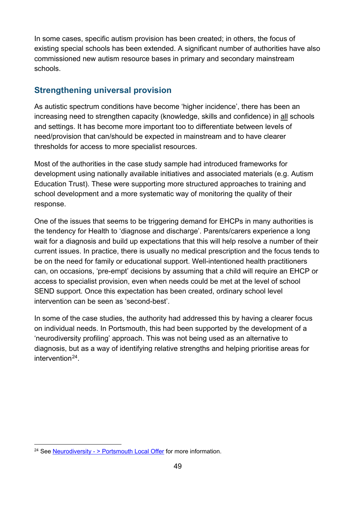In some cases, specific autism provision has been created; in others, the focus of existing special schools has been extended. A significant number of authorities have also commissioned new autism resource bases in primary and secondary mainstream schools.

### **Strengthening universal provision**

As autistic spectrum conditions have become 'higher incidence', there has been an increasing need to strengthen capacity (knowledge, skills and confidence) in all schools and settings. It has become more important too to differentiate between levels of need/provision that can/should be expected in mainstream and to have clearer thresholds for access to more specialist resources.

Most of the authorities in the case study sample had introduced frameworks for development using nationally available initiatives and associated materials (e.g. Autism Education Trust). These were supporting more structured approaches to training and school development and a more systematic way of monitoring the quality of their response.

One of the issues that seems to be triggering demand for EHCPs in many authorities is the tendency for Health to 'diagnose and discharge'. Parents/carers experience a long wait for a diagnosis and build up expectations that this will help resolve a number of their current issues. In practice, there is usually no medical prescription and the focus tends to be on the need for family or educational support. Well-intentioned health practitioners can, on occasions, 'pre-empt' decisions by assuming that a child will require an EHCP or access to specialist provision, even when needs could be met at the level of school SEND support. Once this expectation has been created, ordinary school level intervention can be seen as 'second-best'.

In some of the case studies, the authority had addressed this by having a clearer focus on individual needs. In Portsmouth, this had been supported by the development of a 'neurodiversity profiling' approach. This was not being used as an alternative to diagnosis, but as a way of identifying relative strengths and helping prioritise areas for intervention<sup>[24](#page-48-0)</sup>.

<span id="page-48-0"></span><sup>&</sup>lt;sup>24</sup> See [Neurodiversity - > Portsmouth Local Offer](https://portsmouthlocaloffer.org/information/neurodiversity/) for more information.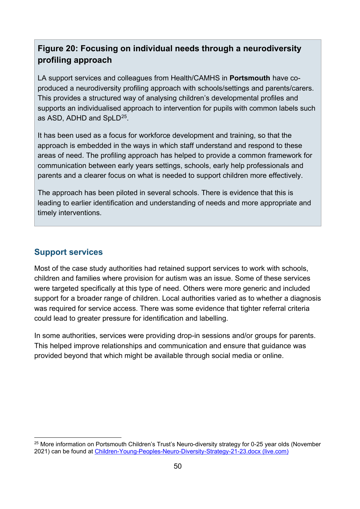### **Figure 20: Focusing on individual needs through a neurodiversity profiling approach**

LA support services and colleagues from Health/CAMHS in **Portsmouth** have coproduced a neurodiversity profiling approach with schools/settings and parents/carers. This provides a structured way of analysing children's developmental profiles and supports an individualised approach to intervention for pupils with common labels such as ASD, ADHD and SpLD<sup>25</sup>.

It has been used as a focus for workforce development and training, so that the approach is embedded in the ways in which staff understand and respond to these areas of need. The profiling approach has helped to provide a common framework for communication between early years settings, schools, early help professionals and parents and a clearer focus on what is needed to support children more effectively.

The approach has been piloted in several schools. There is evidence that this is leading to earlier identification and understanding of needs and more appropriate and timely interventions.

### **Support services**

Most of the case study authorities had retained support services to work with schools, children and families where provision for autism was an issue. Some of these services were targeted specifically at this type of need. Others were more generic and included support for a broader range of children. Local authorities varied as to whether a diagnosis was required for service access. There was some evidence that tighter referral criteria could lead to greater pressure for identification and labelling.

In some authorities, services were providing drop-in sessions and/or groups for parents. This helped improve relationships and communication and ensure that guidance was provided beyond that which might be available through social media or online.

<span id="page-49-0"></span><sup>&</sup>lt;sup>25</sup> More information on Portsmouth Children's Trust's Neuro-diversity strategy for 0-25 year olds (November 2021) can be found at [Children-Young-Peoples-Neuro-Diversity-Strategy-21-23.docx \(live.com\)](https://view.officeapps.live.com/op/view.aspx?src=https%3A%2F%2Fportsmouthlocaloffer.org%2Fwp-content%2Fuploads%2F2022%2F03%2FChildren-Young-Peoples-Neuro-Diversity-Strategy-21-23.docx&wdOrigin=BROWSELINK)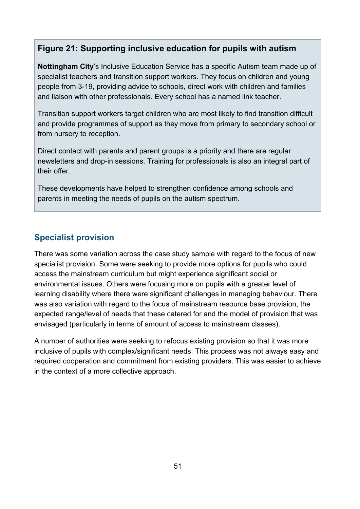#### **Figure 21: Supporting inclusive education for pupils with autism**

**Nottingham City**'s Inclusive Education Service has a specific Autism team made up of specialist teachers and transition support workers. They focus on children and young people from 3-19, providing advice to schools, direct work with children and families and liaison with other professionals. Every school has a named link teacher.

Transition support workers target children who are most likely to find transition difficult and provide programmes of support as they move from primary to secondary school or from nursery to reception.

Direct contact with parents and parent groups is a priority and there are regular newsletters and drop-in sessions. Training for professionals is also an integral part of their offer.

These developments have helped to strengthen confidence among schools and parents in meeting the needs of pupils on the autism spectrum.

### **Specialist provision**

There was some variation across the case study sample with regard to the focus of new specialist provision. Some were seeking to provide more options for pupils who could access the mainstream curriculum but might experience significant social or environmental issues. Others were focusing more on pupils with a greater level of learning disability where there were significant challenges in managing behaviour. There was also variation with regard to the focus of mainstream resource base provision, the expected range/level of needs that these catered for and the model of provision that was envisaged (particularly in terms of amount of access to mainstream classes).

A number of authorities were seeking to refocus existing provision so that it was more inclusive of pupils with complex/significant needs. This process was not always easy and required cooperation and commitment from existing providers. This was easier to achieve in the context of a more collective approach.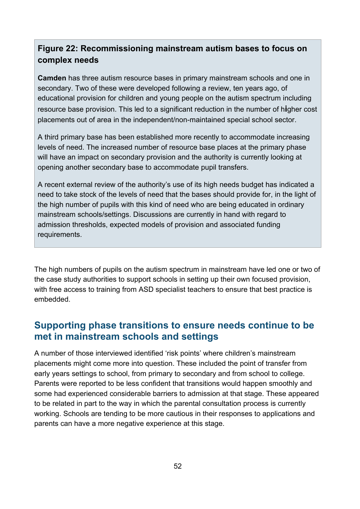### **Figure 22: Recommissioning mainstream autism bases to focus on complex needs**

**Camden** has three autism resource bases in primary mainstream schools and one in secondary. Two of these were developed following a review, ten years ago, of educational provision for children and young people on the autism spectrum including resource base provision. This led to a significant reduction in the number of h**i**gher cost placements out of area in the independent/non-maintained special school sector.

A third primary base has been established more recently to accommodate increasing levels of need. The increased number of resource base places at the primary phase will have an impact on secondary provision and the authority is currently looking at opening another secondary base to accommodate pupil transfers.

A recent external review of the authority's use of its high needs budget has indicated a need to take stock of the levels of need that the bases should provide for, in the light of the high number of pupils with this kind of need who are being educated in ordinary mainstream schools/settings. Discussions are currently in hand with regard to admission thresholds, expected models of provision and associated funding requirements.

The high numbers of pupils on the autism spectrum in mainstream have led one or two of the case study authorities to support schools in setting up their own focused provision, with free access to training from ASD specialist teachers to ensure that best practice is embedded.

### **Supporting phase transitions to ensure needs continue to be met in mainstream schools and settings**

A number of those interviewed identified 'risk points' where children's mainstream placements might come more into question. These included the point of transfer from early years settings to school, from primary to secondary and from school to college. Parents were reported to be less confident that transitions would happen smoothly and some had experienced considerable barriers to admission at that stage. These appeared to be related in part to the way in which the parental consultation process is currently working. Schools are tending to be more cautious in their responses to applications and parents can have a more negative experience at this stage.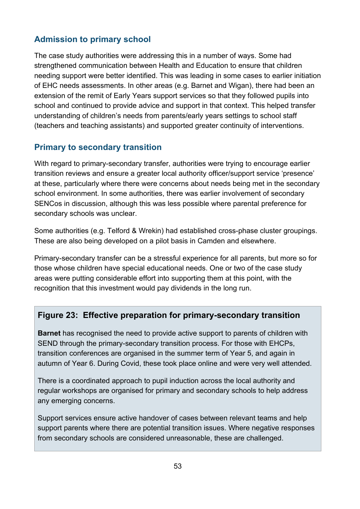### **Admission to primary school**

The case study authorities were addressing this in a number of ways. Some had strengthened communication between Health and Education to ensure that children needing support were better identified. This was leading in some cases to earlier initiation of EHC needs assessments. In other areas (e.g. Barnet and Wigan), there had been an extension of the remit of Early Years support services so that they followed pupils into school and continued to provide advice and support in that context. This helped transfer understanding of children's needs from parents/early years settings to school staff (teachers and teaching assistants) and supported greater continuity of interventions.

### **Primary to secondary transition**

With regard to primary-secondary transfer, authorities were trying to encourage earlier transition reviews and ensure a greater local authority officer/support service 'presence' at these, particularly where there were concerns about needs being met in the secondary school environment. In some authorities, there was earlier involvement of secondary SENCos in discussion, although this was less possible where parental preference for secondary schools was unclear.

Some authorities (e.g. Telford & Wrekin) had established cross-phase cluster groupings. These are also being developed on a pilot basis in Camden and elsewhere.

Primary-secondary transfer can be a stressful experience for all parents, but more so for those whose children have special educational needs. One or two of the case study areas were putting considerable effort into supporting them at this point, with the recognition that this investment would pay dividends in the long run.

### **Figure 23: Effective preparation for primary-secondary transition**

**Barnet** has recognised the need to provide active support to parents of children with SEND through the primary-secondary transition process. For those with EHCPs, transition conferences are organised in the summer term of Year 5, and again in autumn of Year 6. During Covid, these took place online and were very well attended.

There is a coordinated approach to pupil induction across the local authority and regular workshops are organised for primary and secondary schools to help address any emerging concerns.

Support services ensure active handover of cases between relevant teams and help support parents where there are potential transition issues. Where negative responses from secondary schools are considered unreasonable, these are challenged.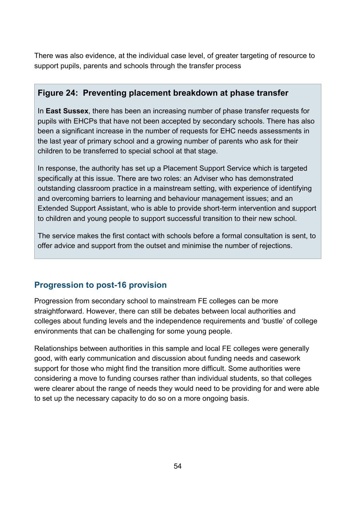There was also evidence, at the individual case level, of greater targeting of resource to support pupils, parents and schools through the transfer process

### **Figure 24: Preventing placement breakdown at phase transfer**

In **East Sussex**, there has been an increasing number of phase transfer requests for pupils with EHCPs that have not been accepted by secondary schools. There has also been a significant increase in the number of requests for EHC needs assessments in the last year of primary school and a growing number of parents who ask for their children to be transferred to special school at that stage.

In response, the authority has set up a Placement Support Service which is targeted specifically at this issue. There are two roles: an Adviser who has demonstrated outstanding classroom practice in a mainstream setting, with experience of identifying and overcoming barriers to learning and behaviour management issues; and an Extended Support Assistant, who is able to provide short-term intervention and support to children and young people to support successful transition to their new school.

The service makes the first contact with schools before a formal consultation is sent, to offer advice and support from the outset and minimise the number of rejections.

### **Progression to post-16 provision**

Progression from secondary school to mainstream FE colleges can be more straightforward. However, there can still be debates between local authorities and colleges about funding levels and the independence requirements and 'bustle' of college environments that can be challenging for some young people.

Relationships between authorities in this sample and local FE colleges were generally good, with early communication and discussion about funding needs and casework support for those who might find the transition more difficult. Some authorities were considering a move to funding courses rather than individual students, so that colleges were clearer about the range of needs they would need to be providing for and were able to set up the necessary capacity to do so on a more ongoing basis.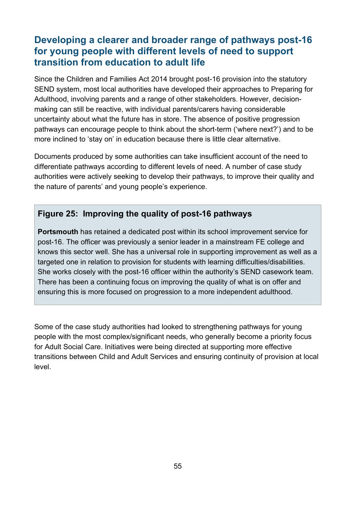### **Developing a clearer and broader range of pathways post-16 for young people with different levels of need to support transition from education to adult life**

Since the Children and Families Act 2014 brought post-16 provision into the statutory SEND system, most local authorities have developed their approaches to Preparing for Adulthood, involving parents and a range of other stakeholders. However, decisionmaking can still be reactive, with individual parents/carers having considerable uncertainty about what the future has in store. The absence of positive progression pathways can encourage people to think about the short-term ('where next?') and to be more inclined to 'stay on' in education because there is little clear alternative.

Documents produced by some authorities can take insufficient account of the need to differentiate pathways according to different levels of need. A number of case study authorities were actively seeking to develop their pathways, to improve their quality and the nature of parents' and young people's experience.

#### **Figure 25: Improving the quality of post-16 pathways**

**Portsmouth** has retained a dedicated post within its school improvement service for post-16. The officer was previously a senior leader in a mainstream FE college and knows this sector well. She has a universal role in supporting improvement as well as a targeted one in relation to provision for students with learning difficulties/disabilities. She works closely with the post-16 officer within the authority's SEND casework team. There has been a continuing focus on improving the quality of what is on offer and ensuring this is more focused on progression to a more independent adulthood.

Some of the case study authorities had looked to strengthening pathways for young people with the most complex/significant needs, who generally become a priority focus for Adult Social Care. Initiatives were being directed at supporting more effective transitions between Child and Adult Services and ensuring continuity of provision at local level.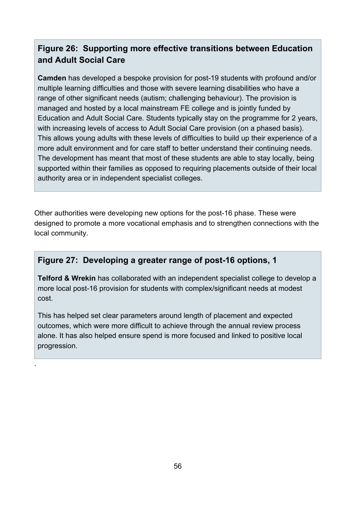### **Figure 26: Supporting more effective transitions between Education and Adult Social Care**

**Camden** has developed a bespoke provision for post-19 students with profound and/or multiple learning difficulties and those with severe learning disabilities who have a range of other significant needs (autism; challenging behaviour). The provision is managed and hosted by a local mainstream FE college and is jointly funded by Education and Adult Social Care. Students typically stay on the programme for 2 years, with increasing levels of access to Adult Social Care provision (on a phased basis). This allows young adults with these levels of difficulties to build up their experience of a more adult environment and for care staff to better understand their continuing needs. The development has meant that most of these students are able to stay locally, being supported within their families as opposed to requiring placements outside of their local authority area or in independent specialist colleges.

Other authorities were developing new options for the post-16 phase. These were designed to promote a more vocational emphasis and to strengthen connections with the local community.

#### **Figure 27: Developing a greater range of post-16 options, 1**

**Telford & Wrekin** has collaborated with an independent specialist college to develop a more local post-16 provision for students with complex/significant needs at modest cost.

This has helped set clear parameters around length of placement and expected outcomes, which were more difficult to achieve through the annual review process alone. It has also helped ensure spend is more focused and linked to positive local progression.

.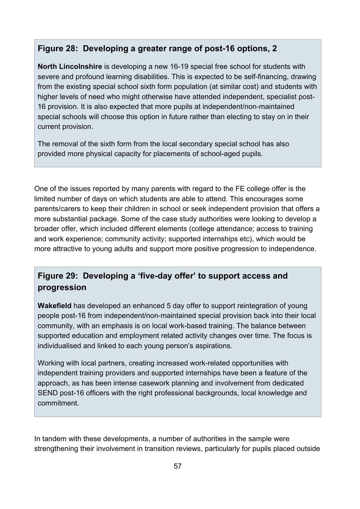#### **Figure 28: Developing a greater range of post-16 options, 2**

**North Lincolnshire** is developing a new 16-19 special free school for students with severe and profound learning disabilities. This is expected to be self-financing, drawing from the existing special school sixth form population (at similar cost) and students with higher levels of need who might otherwise have attended independent, specialist post-16 provision. It is also expected that more pupils at independent/non-maintained special schools will choose this option in future rather than electing to stay on in their current provision.

The removal of the sixth form from the local secondary special school has also provided more physical capacity for placements of school-aged pupils.

One of the issues reported by many parents with regard to the FE college offer is the limited number of days on which students are able to attend. This encourages some parents/carers to keep their children in school or seek independent provision that offers a more substantial package. Some of the case study authorities were looking to develop a broader offer, which included different elements (college attendance; access to training and work experience; community activity; supported internships etc), which would be more attractive to young adults and support more positive progression to independence.

### **Figure 29: Developing a 'five-day offer' to support access and progression**

**Wakefield** has developed an enhanced 5 day offer to support reintegration of young people post-16 from independent/non-maintained special provision back into their local community, with an emphasis is on local work-based training. The balance between supported education and employment related activity changes over time. The focus is individualised and linked to each young person's aspirations.

Working with local partners, creating increased work-related opportunities with independent training providers and supported internships have been a feature of the approach, as has been intense casework planning and involvement from dedicated SEND post-16 officers with the right professional backgrounds, local knowledge and commitment.

In tandem with these developments, a number of authorities in the sample were strengthening their involvement in transition reviews, particularly for pupils placed outside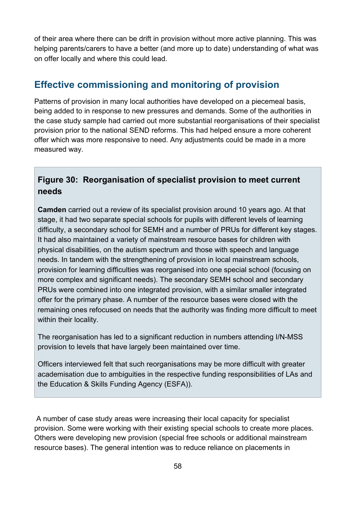of their area where there can be drift in provision without more active planning. This was helping parents/carers to have a better (and more up to date) understanding of what was on offer locally and where this could lead.

### **Effective commissioning and monitoring of provision**

Patterns of provision in many local authorities have developed on a piecemeal basis, being added to in response to new pressures and demands. Some of the authorities in the case study sample had carried out more substantial reorganisations of their specialist provision prior to the national SEND reforms. This had helped ensure a more coherent offer which was more responsive to need. Any adjustments could be made in a more measured way.

### **Figure 30: Reorganisation of specialist provision to meet current needs**

**Camden** carried out a review of its specialist provision around 10 years ago. At that stage, it had two separate special schools for pupils with different levels of learning difficulty, a secondary school for SEMH and a number of PRUs for different key stages. It had also maintained a variety of mainstream resource bases for children with physical disabilities, on the autism spectrum and those with speech and language needs. In tandem with the strengthening of provision in local mainstream schools, provision for learning difficulties was reorganised into one special school (focusing on more complex and significant needs). The secondary SEMH school and secondary PRUs were combined into one integrated provision, with a similar smaller integrated offer for the primary phase. A number of the resource bases were closed with the remaining ones refocused on needs that the authority was finding more difficult to meet within their locality.

The reorganisation has led to a significant reduction in numbers attending I/N-MSS provision to levels that have largely been maintained over time.

Officers interviewed felt that such reorganisations may be more difficult with greater academisation due to ambiguities in the respective funding responsibilities of LAs and the Education & Skills Funding Agency (ESFA)).

A number of case study areas were increasing their local capacity for specialist provision. Some were working with their existing special schools to create more places. Others were developing new provision (special free schools or additional mainstream resource bases). The general intention was to reduce reliance on placements in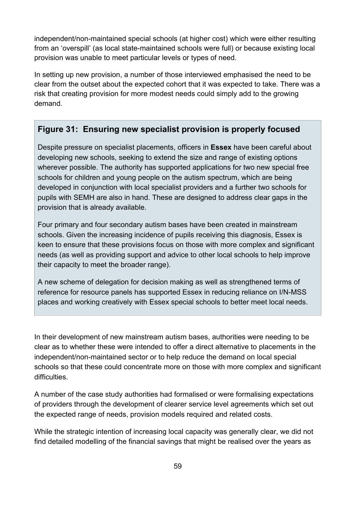independent/non-maintained special schools (at higher cost) which were either resulting from an 'overspill' (as local state-maintained schools were full) or because existing local provision was unable to meet particular levels or types of need.

In setting up new provision, a number of those interviewed emphasised the need to be clear from the outset about the expected cohort that it was expected to take. There was a risk that creating provision for more modest needs could simply add to the growing demand.

#### **Figure 31: Ensuring new specialist provision is properly focused**

Despite pressure on specialist placements, officers in **Essex** have been careful about developing new schools, seeking to extend the size and range of existing options wherever possible. The authority has supported applications for two new special free schools for children and young people on the autism spectrum, which are being developed in conjunction with local specialist providers and a further two schools for pupils with SEMH are also in hand. These are designed to address clear gaps in the provision that is already available.

Four primary and four secondary autism bases have been created in mainstream schools. Given the increasing incidence of pupils receiving this diagnosis, Essex is keen to ensure that these provisions focus on those with more complex and significant needs (as well as providing support and advice to other local schools to help improve their capacity to meet the broader range).

A new scheme of delegation for decision making as well as strengthened terms of reference for resource panels has supported Essex in reducing reliance on I/N-MSS places and working creatively with Essex special schools to better meet local needs.

In their development of new mainstream autism bases, authorities were needing to be clear as to whether these were intended to offer a direct alternative to placements in the independent/non-maintained sector or to help reduce the demand on local special schools so that these could concentrate more on those with more complex and significant difficulties

A number of the case study authorities had formalised or were formalising expectations of providers through the development of clearer service level agreements which set out the expected range of needs, provision models required and related costs.

While the strategic intention of increasing local capacity was generally clear, we did not find detailed modelling of the financial savings that might be realised over the years as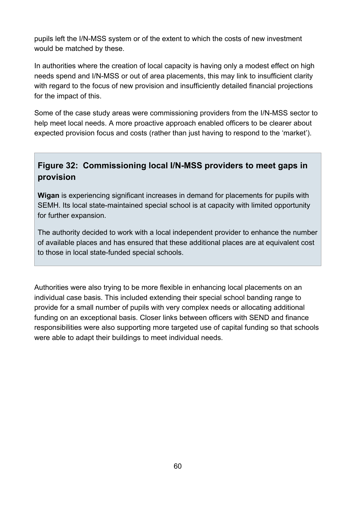pupils left the I/N-MSS system or of the extent to which the costs of new investment would be matched by these.

In authorities where the creation of local capacity is having only a modest effect on high needs spend and I/N-MSS or out of area placements, this may link to insufficient clarity with regard to the focus of new provision and insufficiently detailed financial projections for the impact of this.

Some of the case study areas were commissioning providers from the I/N-MSS sector to help meet local needs. A more proactive approach enabled officers to be clearer about expected provision focus and costs (rather than just having to respond to the 'market').

### **Figure 32: Commissioning local I/N-MSS providers to meet gaps in provision**

**Wigan** is experiencing significant increases in demand for placements for pupils with SEMH. Its local state-maintained special school is at capacity with limited opportunity for further expansion.

The authority decided to work with a local independent provider to enhance the number of available places and has ensured that these additional places are at equivalent cost to those in local state-funded special schools.

Authorities were also trying to be more flexible in enhancing local placements on an individual case basis. This included extending their special school banding range to provide for a small number of pupils with very complex needs or allocating additional funding on an exceptional basis. Closer links between officers with SEND and finance responsibilities were also supporting more targeted use of capital funding so that schools were able to adapt their buildings to meet individual needs.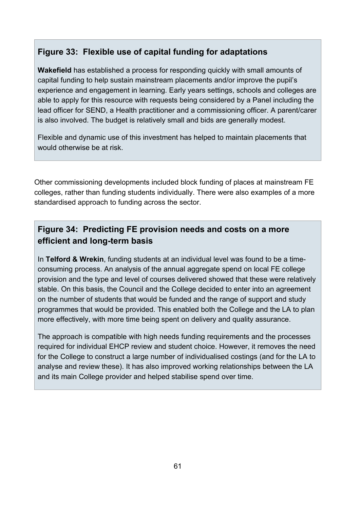### **Figure 33: Flexible use of capital funding for adaptations**

**Wakefield** has established a process for responding quickly with small amounts of capital funding to help sustain mainstream placements and/or improve the pupil's experience and engagement in learning. Early years settings, schools and colleges are able to apply for this resource with requests being considered by a Panel including the lead officer for SEND, a Health practitioner and a commissioning officer. A parent/carer is also involved. The budget is relatively small and bids are generally modest.

Flexible and dynamic use of this investment has helped to maintain placements that would otherwise be at risk.

Other commissioning developments included block funding of places at mainstream FE colleges, rather than funding students individually. There were also examples of a more standardised approach to funding across the sector.

### **Figure 34: Predicting FE provision needs and costs on a more efficient and long-term basis**

In **Telford & Wrekin**, funding students at an individual level was found to be a timeconsuming process. An analysis of the annual aggregate spend on local FE college provision and the type and level of courses delivered showed that these were relatively stable. On this basis, the Council and the College decided to enter into an agreement on the number of students that would be funded and the range of support and study programmes that would be provided. This enabled both the College and the LA to plan more effectively, with more time being spent on delivery and quality assurance.

The approach is compatible with high needs funding requirements and the processes required for individual EHCP review and student choice. However, it removes the need for the College to construct a large number of individualised costings (and for the LA to analyse and review these). It has also improved working relationships between the LA and its main College provider and helped stabilise spend over time.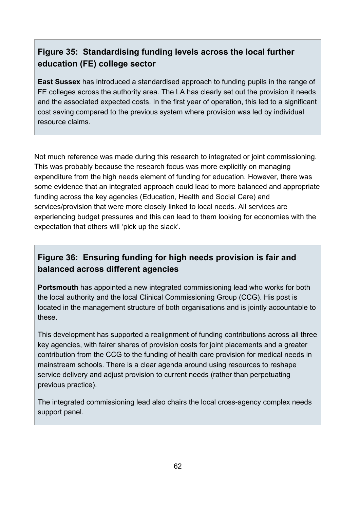### **Figure 35: Standardising funding levels across the local further education (FE) college sector**

**East Sussex** has introduced a standardised approach to funding pupils in the range of FE colleges across the authority area. The LA has clearly set out the provision it needs and the associated expected costs. In the first year of operation, this led to a significant cost saving compared to the previous system where provision was led by individual resource claims.

Not much reference was made during this research to integrated or joint commissioning. This was probably because the research focus was more explicitly on managing expenditure from the high needs element of funding for education. However, there was some evidence that an integrated approach could lead to more balanced and appropriate funding across the key agencies (Education, Health and Social Care) and services/provision that were more closely linked to local needs. All services are experiencing budget pressures and this can lead to them looking for economies with the expectation that others will 'pick up the slack'.

### **Figure 36: Ensuring funding for high needs provision is fair and balanced across different agencies**

**Portsmouth** has appointed a new integrated commissioning lead who works for both the local authority and the local Clinical Commissioning Group (CCG). His post is located in the management structure of both organisations and is jointly accountable to these.

This development has supported a realignment of funding contributions across all three key agencies, with fairer shares of provision costs for joint placements and a greater contribution from the CCG to the funding of health care provision for medical needs in mainstream schools. There is a clear agenda around using resources to reshape service delivery and adjust provision to current needs (rather than perpetuating previous practice).

The integrated commissioning lead also chairs the local cross-agency complex needs support panel.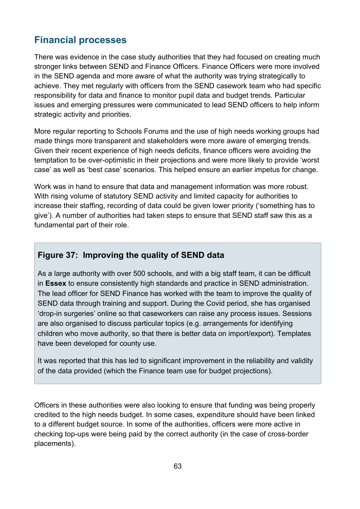# **Financial processes**

There was evidence in the case study authorities that they had focused on creating much stronger links between SEND and Finance Officers. Finance Officers were more involved in the SEND agenda and more aware of what the authority was trying strategically to achieve. They met regularly with officers from the SEND casework team who had specific responsibility for data and finance to monitor pupil data and budget trends. Particular issues and emerging pressures were communicated to lead SEND officers to help inform strategic activity and priorities.

More regular reporting to Schools Forums and the use of high needs working groups had made things more transparent and stakeholders were more aware of emerging trends. Given their recent experience of high needs deficits, finance officers were avoiding the temptation to be over-optimistic in their projections and were more likely to provide 'worst case' as well as 'best case' scenarios. This helped ensure an earlier impetus for change.

Work was in hand to ensure that data and management information was more robust. With rising volume of statutory SEND activity and limited capacity for authorities to increase their staffing, recording of data could be given lower priority ('something has to give'). A number of authorities had taken steps to ensure that SEND staff saw this as a fundamental part of their role.

### **Figure 37: Improving the quality of SEND data**

As a large authority with over 500 schools, and with a big staff team, it can be difficult in **Essex** to ensure consistently high standards and practice in SEND administration. The lead officer for SEND Finance has worked with the team to improve the quality of SEND data through training and support. During the Covid period, she has organised 'drop-in surgeries' online so that caseworkers can raise any process issues. Sessions are also organised to discuss particular topics (e.g. arrangements for identifying children who move authority, so that there is better data on import/export). Templates have been developed for county use.

It was reported that this has led to significant improvement in the reliability and validity of the data provided (which the Finance team use for budget projections).

Officers in these authorities were also looking to ensure that funding was being properly credited to the high needs budget. In some cases, expenditure should have been linked to a different budget source. In some of the authorities, officers were more active in checking top-ups were being paid by the correct authority (in the case of cross-border placements).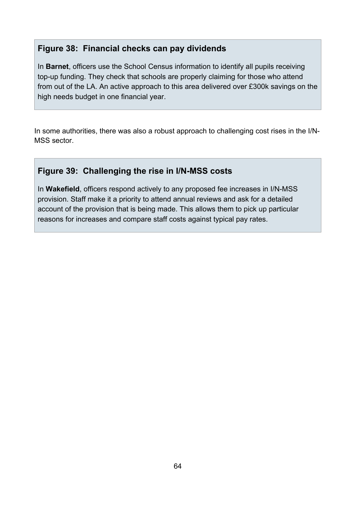#### **Figure 38: Financial checks can pay dividends**

In **Barnet**, officers use the School Census information to identify all pupils receiving top-up funding. They check that schools are properly claiming for those who attend from out of the LA. An active approach to this area delivered over £300k savings on the high needs budget in one financial year.

In some authorities, there was also a robust approach to challenging cost rises in the I/N-MSS sector.

### **Figure 39: Challenging the rise in I/N-MSS costs**

In **Wakefield**, officers respond actively to any proposed fee increases in I/N-MSS provision. Staff make it a priority to attend annual reviews and ask for a detailed account of the provision that is being made. This allows them to pick up particular reasons for increases and compare staff costs against typical pay rates.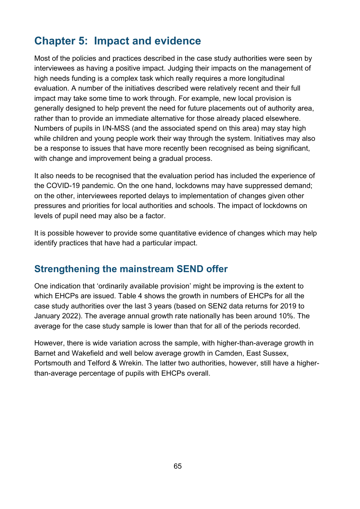# **Chapter 5: Impact and evidence**

Most of the policies and practices described in the case study authorities were seen by interviewees as having a positive impact. Judging their impacts on the management of high needs funding is a complex task which really requires a more longitudinal evaluation. A number of the initiatives described were relatively recent and their full impact may take some time to work through. For example, new local provision is generally designed to help prevent the need for future placements out of authority area, rather than to provide an immediate alternative for those already placed elsewhere. Numbers of pupils in I/N-MSS (and the associated spend on this area) may stay high while children and young people work their way through the system. Initiatives may also be a response to issues that have more recently been recognised as being significant, with change and improvement being a gradual process.

It also needs to be recognised that the evaluation period has included the experience of the COVID-19 pandemic. On the one hand, lockdowns may have suppressed demand; on the other, interviewees reported delays to implementation of changes given other pressures and priorities for local authorities and schools. The impact of lockdowns on levels of pupil need may also be a factor.

It is possible however to provide some quantitative evidence of changes which may help identify practices that have had a particular impact.

# **Strengthening the mainstream SEND offer**

One indication that 'ordinarily available provision' might be improving is the extent to which EHCPs are issued. Table 4 shows the growth in numbers of EHCPs for all the case study authorities over the last 3 years (based on SEN2 data returns for 2019 to January 2022). The average annual growth rate nationally has been around 10%. The average for the case study sample is lower than that for all of the periods recorded.

However, there is wide variation across the sample, with higher-than-average growth in Barnet and Wakefield and well below average growth in Camden, East Sussex, Portsmouth and Telford & Wrekin. The latter two authorities, however, still have a higherthan-average percentage of pupils with EHCPs overall.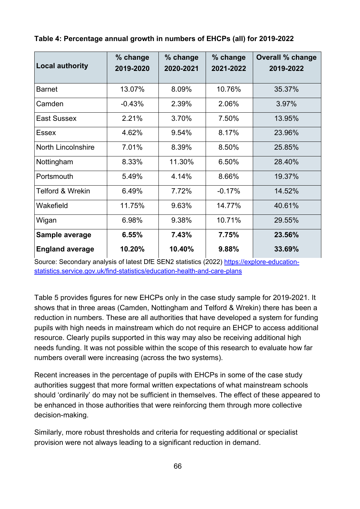| <b>Local authority</b>      | % change<br>2019-2020 | % change<br>2020-2021 | % change<br>2021-2022 | <b>Overall % change</b><br>2019-2022 |
|-----------------------------|-----------------------|-----------------------|-----------------------|--------------------------------------|
| <b>Barnet</b>               | 13.07%                | 8.09%                 | 10.76%                | 35.37%                               |
| Camden                      | $-0.43%$              | 2.39%                 | 2.06%                 | 3.97%                                |
| East Sussex                 | 2.21%                 | 3.70%                 | 7.50%                 | 13.95%                               |
| Essex                       | 4.62%                 | 9.54%                 | 8.17%                 | 23.96%                               |
| North Lincolnshire          | 7.01%                 | 8.39%                 | 8.50%                 | 25.85%                               |
| Nottingham                  | 8.33%                 | 11.30%                | 6.50%                 | 28.40%                               |
| Portsmouth                  | 5.49%                 | 4.14%                 | 8.66%                 | 19.37%                               |
| <b>Telford &amp; Wrekin</b> | 6.49%                 | 7.72%                 | $-0.17%$              | 14.52%                               |
| Wakefield                   | 11.75%                | 9.63%                 | 14.77%                | 40.61%                               |
| Wigan                       | 6.98%                 | 9.38%                 | 10.71%                | 29.55%                               |
| Sample average              | 6.55%                 | 7.43%                 | 7.75%                 | 23.56%                               |
| <b>England average</b>      | 10.20%                | 10.40%                | 9.88%                 | 33.69%                               |

**Table 4: Percentage annual growth in numbers of EHCPs (all) for 2019-2022**

Source: Secondary analysis of latest DfE SEN2 statistics (2022) [https://explore-education](https://explore-education-statistics.service.gov.uk/find-statistics/education-health-and-care-plans)[statistics.service.gov.uk/find-statistics/education-health-and-care-plans](https://explore-education-statistics.service.gov.uk/find-statistics/education-health-and-care-plans)

Table 5 provides figures for new EHCPs only in the case study sample for 2019-2021. It shows that in three areas (Camden, Nottingham and Telford & Wrekin) there has been a reduction in numbers. These are all authorities that have developed a system for funding pupils with high needs in mainstream which do not require an EHCP to access additional resource. Clearly pupils supported in this way may also be receiving additional high needs funding. It was not possible within the scope of this research to evaluate how far numbers overall were increasing (across the two systems).

Recent increases in the percentage of pupils with EHCPs in some of the case study authorities suggest that more formal written expectations of what mainstream schools should 'ordinarily' do may not be sufficient in themselves. The effect of these appeared to be enhanced in those authorities that were reinforcing them through more collective decision-making.

Similarly, more robust thresholds and criteria for requesting additional or specialist provision were not always leading to a significant reduction in demand.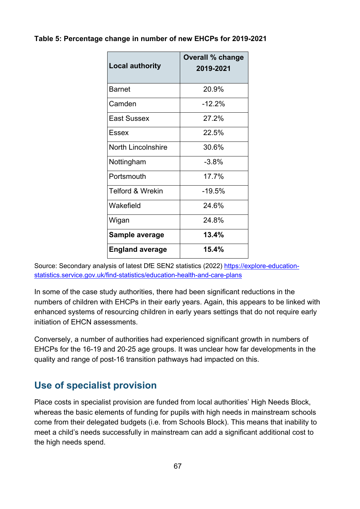#### **Table 5: Percentage change in number of new EHCPs for 2019-2021**

| <b>Local authority</b>      | <b>Overall % change</b><br>2019-2021 |
|-----------------------------|--------------------------------------|
| <b>Barnet</b>               | 20.9%                                |
| Camden                      | $-12.2\%$                            |
| <b>East Sussex</b>          | 27.2%                                |
| Fssex                       | 22.5%                                |
| <b>North Lincolnshire</b>   | 30.6%                                |
| Nottingham                  | $-3.8%$                              |
| Portsmouth                  | 17.7%                                |
| <b>Telford &amp; Wrekin</b> | $-19.5%$                             |
| Wakefield                   | 24 6%                                |
| Wigan                       | 24.8%                                |
| Sample average              | 13.4%                                |
| <b>England average</b>      | 15.4%                                |

Source: Secondary analysis of latest DfE SEN2 statistics (2022) [https://explore-education](https://explore-education-statistics.service.gov.uk/find-statistics/education-health-and-care-plans)[statistics.service.gov.uk/find-statistics/education-health-and-care-plans](https://explore-education-statistics.service.gov.uk/find-statistics/education-health-and-care-plans)

In some of the case study authorities, there had been significant reductions in the numbers of children with EHCPs in their early years. Again, this appears to be linked with enhanced systems of resourcing children in early years settings that do not require early initiation of EHCN assessments.

Conversely, a number of authorities had experienced significant growth in numbers of EHCPs for the 16-19 and 20-25 age groups. It was unclear how far developments in the quality and range of post-16 transition pathways had impacted on this.

# **Use of specialist provision**

Place costs in specialist provision are funded from local authorities' High Needs Block, whereas the basic elements of funding for pupils with high needs in mainstream schools come from their delegated budgets (i.e. from Schools Block). This means that inability to meet a child's needs successfully in mainstream can add a significant additional cost to the high needs spend.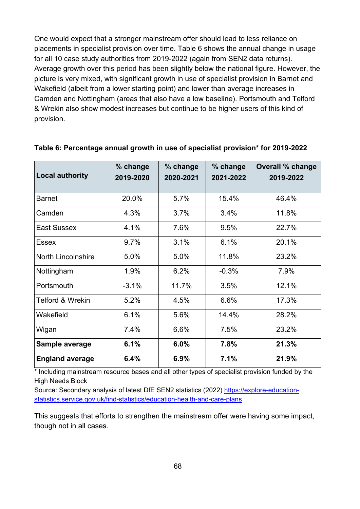One would expect that a stronger mainstream offer should lead to less reliance on placements in specialist provision over time. Table 6 shows the annual change in usage for all 10 case study authorities from 2019-2022 (again from SEN2 data returns). Average growth over this period has been slightly below the national figure. However, the picture is very mixed, with significant growth in use of specialist provision in Barnet and Wakefield (albeit from a lower starting point) and lower than average increases in Camden and Nottingham (areas that also have a low baseline). Portsmouth and Telford & Wrekin also show modest increases but continue to be higher users of this kind of provision.

| <b>Local authority</b>      | % change<br>2019-2020 | % change<br>2020-2021 | % change<br>2021-2022 | <b>Overall % change</b><br>2019-2022 |
|-----------------------------|-----------------------|-----------------------|-----------------------|--------------------------------------|
| <b>Barnet</b>               | 20.0%                 | 5.7%                  | 15.4%                 | 46.4%                                |
| Camden                      | 4.3%                  | 3.7%                  | 3.4%                  | 11.8%                                |
| <b>East Sussex</b>          | 4.1%                  | 7.6%                  | 9.5%                  | 22.7%                                |
| Essex                       | 9.7%                  | 3.1%                  | 6.1%                  | 20.1%                                |
| <b>North Lincolnshire</b>   | 5.0%                  | 5.0%                  | 11.8%                 | 23.2%                                |
| Nottingham                  | 1.9%                  | 6.2%                  | $-0.3%$               | 7.9%                                 |
| Portsmouth                  | $-3.1%$               | 11.7%                 | 3.5%                  | 12.1%                                |
| <b>Telford &amp; Wrekin</b> | 5.2%                  | 4.5%                  | 6.6%                  | 17.3%                                |
| Wakefield                   | 6.1%                  | 5.6%                  | 14.4%                 | 28.2%                                |
| Wigan                       | 7.4%                  | 6.6%                  | 7.5%                  | 23.2%                                |
| Sample average              | 6.1%                  | 6.0%                  | 7.8%                  | 21.3%                                |
| <b>England average</b>      | 6.4%                  | 6.9%                  | 7.1%                  | 21.9%                                |

#### **Table 6: Percentage annual growth in use of specialist provision\* for 2019-2022**

\* Including mainstream resource bases and all other types of specialist provision funded by the High Needs Block

Source: Secondary analysis of latest DfE SEN2 statistics (2022) [https://explore-education](https://explore-education-statistics.service.gov.uk/find-statistics/education-health-and-care-plans)[statistics.service.gov.uk/find-statistics/education-health-and-care-plans](https://explore-education-statistics.service.gov.uk/find-statistics/education-health-and-care-plans)

This suggests that efforts to strengthen the mainstream offer were having some impact, though not in all cases.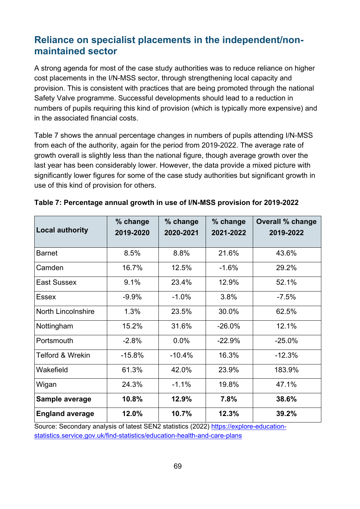# **Reliance on specialist placements in the independent/nonmaintained sector**

A strong agenda for most of the case study authorities was to reduce reliance on higher cost placements in the I/N-MSS sector, through strengthening local capacity and provision. This is consistent with practices that are being promoted through the national Safety Valve programme. Successful developments should lead to a reduction in numbers of pupils requiring this kind of provision (which is typically more expensive) and in the associated financial costs.

Table 7 shows the annual percentage changes in numbers of pupils attending I/N-MSS from each of the authority, again for the period from 2019-2022. The average rate of growth overall is slightly less than the national figure, though average growth over the last year has been considerably lower. However, the data provide a mixed picture with significantly lower figures for some of the case study authorities but significant growth in use of this kind of provision for others.

| <b>Local authority</b>      | % change<br>2019-2020 | % change<br>2020-2021 | % change<br>2021-2022 | <b>Overall % change</b><br>2019-2022 |
|-----------------------------|-----------------------|-----------------------|-----------------------|--------------------------------------|
| <b>Barnet</b>               | 8.5%                  | 8.8%                  | 21.6%                 | 43.6%                                |
| Camden                      | 16.7%                 | 12.5%                 | $-1.6%$               | 29.2%                                |
| East Sussex                 | 9.1%                  | 23.4%                 | 12.9%                 | 52.1%                                |
| Essex                       | $-9.9%$               | $-1.0%$               | 3.8%                  | $-7.5%$                              |
| <b>North Lincolnshire</b>   | 1.3%                  | 23.5%                 | 30.0%                 | 62.5%                                |
| Nottingham                  | 15.2%                 | 31.6%                 | $-26.0%$              | 12.1%                                |
| Portsmouth                  | $-2.8%$               | 0.0%                  | $-22.9%$              | $-25.0%$                             |
| <b>Telford &amp; Wrekin</b> | $-15.8%$              | $-10.4%$              | 16.3%                 | $-12.3%$                             |
| Wakefield                   | 61.3%                 | 42.0%                 | 23.9%                 | 183.9%                               |
| Wigan                       | 24.3%                 | $-1.1%$               | 19.8%                 | 47.1%                                |
| Sample average              | 10.8%                 | 12.9%                 | 7.8%                  | 38.6%                                |
| <b>England average</b>      | 12.0%                 | 10.7%                 | 12.3%                 | 39.2%                                |

| Table 7: Percentage annual growth in use of I/N-MSS provision for 2019-2022 |  |  |
|-----------------------------------------------------------------------------|--|--|
|                                                                             |  |  |

Source: Secondary analysis of latest SEN2 statistics (2022) [https://explore-education](https://explore-education-statistics.service.gov.uk/find-statistics/education-health-and-care-plans)[statistics.service.gov.uk/find-statistics/education-health-and-care-plans](https://explore-education-statistics.service.gov.uk/find-statistics/education-health-and-care-plans)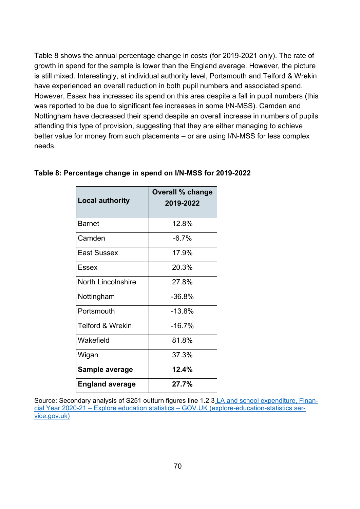Table 8 shows the annual percentage change in costs (for 2019-2021 only). The rate of growth in spend for the sample is lower than the England average. However, the picture is still mixed. Interestingly, at individual authority level, Portsmouth and Telford & Wrekin have experienced an overall reduction in both pupil numbers and associated spend. However, Essex has increased its spend on this area despite a fall in pupil numbers (this was reported to be due to significant fee increases in some I/N-MSS). Camden and Nottingham have decreased their spend despite an overall increase in numbers of pupils attending this type of provision, suggesting that they are either managing to achieve better value for money from such placements – or are using I/N-MSS for less complex needs.

| <b>Local authority</b>      | <b>Overall % change</b><br>2019-2022 |
|-----------------------------|--------------------------------------|
| Barnet                      | 12.8%                                |
| Camden                      | $-6.7%$                              |
| East Sussex                 | 17.9%                                |
| <b>Essex</b>                | 20.3%                                |
| <b>North Lincolnshire</b>   | 27.8%                                |
| Nottingham                  | $-36.8\%$                            |
| Portsmouth                  | $-13.8%$                             |
| <b>Telford &amp; Wrekin</b> | $-16.7%$                             |
| Wakefield                   | 81.8%                                |
| Wigan                       | 37.3%                                |
| Sample average              | 12.4%                                |
| <b>England average</b>      | 27.7%                                |

#### **Table 8: Percentage change in spend on I/N-MSS for 2019-2022**

Source: Secondary analysis of S251 outturn figures line 1.2.3 [LA and school expenditure, Finan](https://explore-education-statistics.service.gov.uk/find-statistics/la-and-school-expenditure)[cial Year 2020-21 – Explore education statistics – GOV.UK \(explore-education-statistics.ser](https://explore-education-statistics.service.gov.uk/find-statistics/la-and-school-expenditure)[vice.gov.uk\)](https://explore-education-statistics.service.gov.uk/find-statistics/la-and-school-expenditure)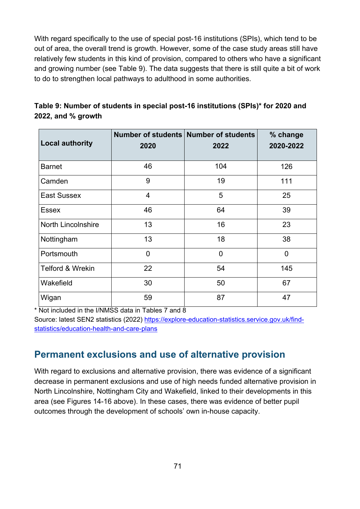With regard specifically to the use of special post-16 institutions (SPIs), which tend to be out of area, the overall trend is growth. However, some of the case study areas still have relatively few students in this kind of provision, compared to others who have a significant and growing number (see Table 9). The data suggests that there is still quite a bit of work to do to strengthen local pathways to adulthood in some authorities.

| <b>Local authority</b>      | 2020           | Number of students Number of students<br>2022 | % change<br>2020-2022 |
|-----------------------------|----------------|-----------------------------------------------|-----------------------|
| <b>Barnet</b>               | 46             | 104                                           | 126                   |
| Camden                      | 9              | 19                                            | 111                   |
| <b>East Sussex</b>          | $\overline{4}$ | 5                                             | 25                    |
| <b>Essex</b>                | 46             | 64                                            | 39                    |
| <b>North Lincolnshire</b>   | 13             | 16                                            | 23                    |
| Nottingham                  | 13             | 18                                            | 38                    |
| Portsmouth                  | $\overline{0}$ | $\overline{0}$                                | $\overline{0}$        |
| <b>Telford &amp; Wrekin</b> | 22             | 54                                            | 145                   |
| Wakefield                   | 30             | 50                                            | 67                    |
| Wigan                       | 59             | 87                                            | 47                    |

**Table 9: Number of students in special post-16 institutions (SPIs)\* for 2020 and 2022, and % growth**

\* Not included in the I/NMSS data in Tables 7 and 8

Source: latest SEN2 statistics (2022) [https://explore-education-statistics.service.gov.uk/find](https://explore-education-statistics.service.gov.uk/find-statistics/education-health-and-care-plans)[statistics/education-health-and-care-plans](https://explore-education-statistics.service.gov.uk/find-statistics/education-health-and-care-plans)

### **Permanent exclusions and use of alternative provision**

With regard to exclusions and alternative provision, there was evidence of a significant decrease in permanent exclusions and use of high needs funded alternative provision in North Lincolnshire, Nottingham City and Wakefield, linked to their developments in this area (see Figures 14-16 above). In these cases, there was evidence of better pupil outcomes through the development of schools' own in-house capacity.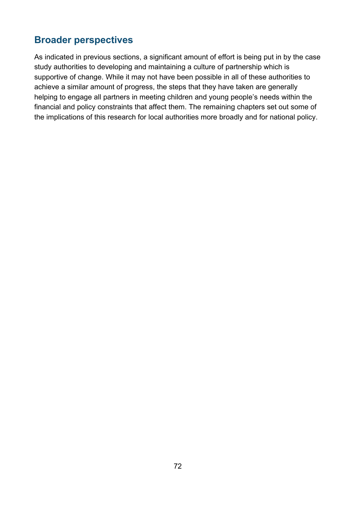# **Broader perspectives**

As indicated in previous sections, a significant amount of effort is being put in by the case study authorities to developing and maintaining a culture of partnership which is supportive of change. While it may not have been possible in all of these authorities to achieve a similar amount of progress, the steps that they have taken are generally helping to engage all partners in meeting children and young people's needs within the financial and policy constraints that affect them. The remaining chapters set out some of the implications of this research for local authorities more broadly and for national policy.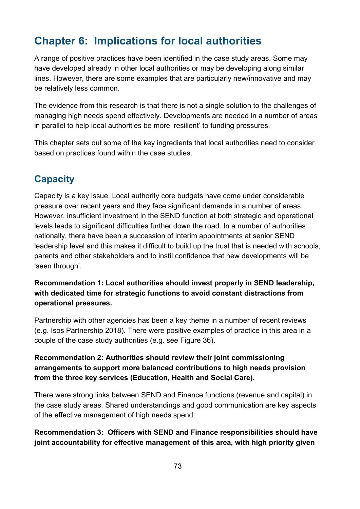# **Chapter 6: Implications for local authorities**

A range of positive practices have been identified in the case study areas. Some may have developed already in other local authorities or may be developing along similar lines. However, there are some examples that are particularly new/innovative and may be relatively less common.

The evidence from this research is that there is not a single solution to the challenges of managing high needs spend effectively. Developments are needed in a number of areas in parallel to help local authorities be more 'resilient' to funding pressures.

This chapter sets out some of the key ingredients that local authorities need to consider based on practices found within the case studies.

## **Capacity**

Capacity is a key issue. Local authority core budgets have come under considerable pressure over recent years and they face significant demands in a number of areas. However, insufficient investment in the SEND function at both strategic and operational levels leads to significant difficulties further down the road. In a number of authorities nationally, there have been a succession of interim appointments at senior SEND leadership level and this makes it difficult to build up the trust that is needed with schools, parents and other stakeholders and to instil confidence that new developments will be 'seen through'.

**Recommendation 1: Local authorities should invest properly in SEND leadership, with dedicated time for strategic functions to avoid constant distractions from operational pressures.**

Partnership with other agencies has been a key theme in a number of recent reviews (e.g. Isos Partnership 2018). There were positive examples of practice in this area in a couple of the case study authorities (e.g. see Figure 36).

#### **Recommendation 2: Authorities should review their joint commissioning arrangements to support more balanced contributions to high needs provision from the three key services (Education, Health and Social Care).**

There were strong links between SEND and Finance functions (revenue and capital) in the case study areas. Shared understandings and good communication are key aspects of the effective management of high needs spend.

**Recommendation 3: Officers with SEND and Finance responsibilities should have joint accountability for effective management of this area, with high priority given**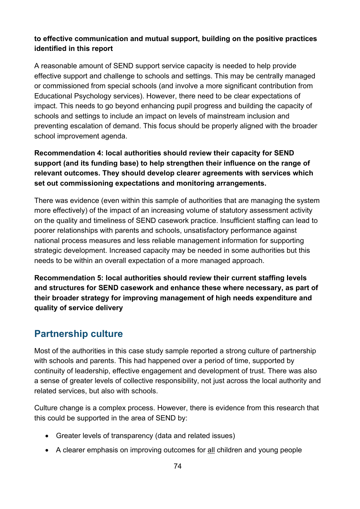#### **to effective communication and mutual support, building on the positive practices identified in this report**

A reasonable amount of SEND support service capacity is needed to help provide effective support and challenge to schools and settings. This may be centrally managed or commissioned from special schools (and involve a more significant contribution from Educational Psychology services). However, there need to be clear expectations of impact. This needs to go beyond enhancing pupil progress and building the capacity of schools and settings to include an impact on levels of mainstream inclusion and preventing escalation of demand. This focus should be properly aligned with the broader school improvement agenda.

### **Recommendation 4: local authorities should review their capacity for SEND support (and its funding base) to help strengthen their influence on the range of relevant outcomes. They should develop clearer agreements with services which set out commissioning expectations and monitoring arrangements.**

There was evidence (even within this sample of authorities that are managing the system more effectively) of the impact of an increasing volume of statutory assessment activity on the quality and timeliness of SEND casework practice. Insufficient staffing can lead to poorer relationships with parents and schools, unsatisfactory performance against national process measures and less reliable management information for supporting strategic development. Increased capacity may be needed in some authorities but this needs to be within an overall expectation of a more managed approach.

**Recommendation 5: local authorities should review their current staffing levels and structures for SEND casework and enhance these where necessary, as part of their broader strategy for improving management of high needs expenditure and quality of service delivery**

## **Partnership culture**

Most of the authorities in this case study sample reported a strong culture of partnership with schools and parents. This had happened over a period of time, supported by continuity of leadership, effective engagement and development of trust. There was also a sense of greater levels of collective responsibility, not just across the local authority and related services, but also with schools.

Culture change is a complex process. However, there is evidence from this research that this could be supported in the area of SEND by:

- Greater levels of transparency (data and related issues)
- A clearer emphasis on improving outcomes for all children and young people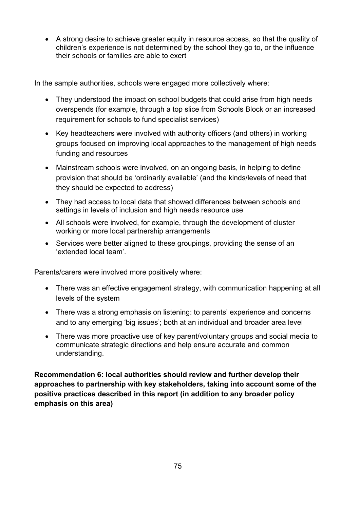• A strong desire to achieve greater equity in resource access, so that the quality of children's experience is not determined by the school they go to, or the influence their schools or families are able to exert

In the sample authorities, schools were engaged more collectively where:

- They understood the impact on school budgets that could arise from high needs overspends (for example, through a top slice from Schools Block or an increased requirement for schools to fund specialist services)
- Key headteachers were involved with authority officers (and others) in working groups focused on improving local approaches to the management of high needs funding and resources
- Mainstream schools were involved, on an ongoing basis, in helping to define provision that should be 'ordinarily available' (and the kinds/levels of need that they should be expected to address)
- They had access to local data that showed differences between schools and settings in levels of inclusion and high needs resource use
- All schools were involved, for example, through the development of cluster working or more local partnership arrangements
- Services were better aligned to these groupings, providing the sense of an 'extended local team'.

Parents/carers were involved more positively where:

- There was an effective engagement strategy, with communication happening at all levels of the system
- There was a strong emphasis on listening: to parents' experience and concerns and to any emerging 'big issues'; both at an individual and broader area level
- There was more proactive use of key parent/voluntary groups and social media to communicate strategic directions and help ensure accurate and common understanding.

**Recommendation 6: local authorities should review and further develop their approaches to partnership with key stakeholders, taking into account some of the positive practices described in this report (in addition to any broader policy emphasis on this area)**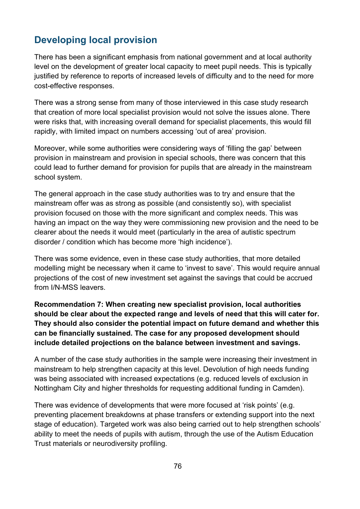## **Developing local provision**

There has been a significant emphasis from national government and at local authority level on the development of greater local capacity to meet pupil needs. This is typically justified by reference to reports of increased levels of difficulty and to the need for more cost-effective responses.

There was a strong sense from many of those interviewed in this case study research that creation of more local specialist provision would not solve the issues alone. There were risks that, with increasing overall demand for specialist placements, this would fill rapidly, with limited impact on numbers accessing 'out of area' provision.

Moreover, while some authorities were considering ways of 'filling the gap' between provision in mainstream and provision in special schools, there was concern that this could lead to further demand for provision for pupils that are already in the mainstream school system.

The general approach in the case study authorities was to try and ensure that the mainstream offer was as strong as possible (and consistently so), with specialist provision focused on those with the more significant and complex needs. This was having an impact on the way they were commissioning new provision and the need to be clearer about the needs it would meet (particularly in the area of autistic spectrum disorder / condition which has become more 'high incidence').

There was some evidence, even in these case study authorities, that more detailed modelling might be necessary when it came to 'invest to save'. This would require annual projections of the cost of new investment set against the savings that could be accrued from I/N-MSS leavers.

**Recommendation 7: When creating new specialist provision, local authorities should be clear about the expected range and levels of need that this will cater for. They should also consider the potential impact on future demand and whether this can be financially sustained. The case for any proposed development should include detailed projections on the balance between investment and savings.**

A number of the case study authorities in the sample were increasing their investment in mainstream to help strengthen capacity at this level. Devolution of high needs funding was being associated with increased expectations (e.g. reduced levels of exclusion in Nottingham City and higher thresholds for requesting additional funding in Camden).

There was evidence of developments that were more focused at 'risk points' (e.g. preventing placement breakdowns at phase transfers or extending support into the next stage of education). Targeted work was also being carried out to help strengthen schools' ability to meet the needs of pupils with autism, through the use of the Autism Education Trust materials or neurodiversity profiling.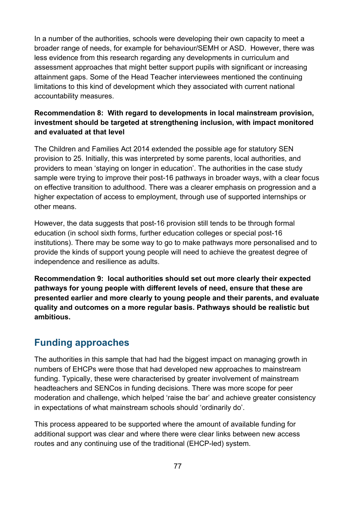In a number of the authorities, schools were developing their own capacity to meet a broader range of needs, for example for behaviour/SEMH or ASD. However, there was less evidence from this research regarding any developments in curriculum and assessment approaches that might better support pupils with significant or increasing attainment gaps. Some of the Head Teacher interviewees mentioned the continuing limitations to this kind of development which they associated with current national accountability measures.

#### **Recommendation 8: With regard to developments in local mainstream provision, investment should be targeted at strengthening inclusion, with impact monitored and evaluated at that level**

The Children and Families Act 2014 extended the possible age for statutory SEN provision to 25. Initially, this was interpreted by some parents, local authorities, and providers to mean 'staying on longer in education'. The authorities in the case study sample were trying to improve their post-16 pathways in broader ways, with a clear focus on effective transition to adulthood. There was a clearer emphasis on progression and a higher expectation of access to employment, through use of supported internships or other means.

However, the data suggests that post-16 provision still tends to be through formal education (in school sixth forms, further education colleges or special post-16 institutions). There may be some way to go to make pathways more personalised and to provide the kinds of support young people will need to achieve the greatest degree of independence and resilience as adults.

**Recommendation 9: local authorities should set out more clearly their expected pathways for young people with different levels of need, ensure that these are presented earlier and more clearly to young people and their parents, and evaluate quality and outcomes on a more regular basis. Pathways should be realistic but ambitious.**

## **Funding approaches**

The authorities in this sample that had had the biggest impact on managing growth in numbers of EHCPs were those that had developed new approaches to mainstream funding. Typically, these were characterised by greater involvement of mainstream headteachers and SENCos in funding decisions. There was more scope for peer moderation and challenge, which helped 'raise the bar' and achieve greater consistency in expectations of what mainstream schools should 'ordinarily do'.

This process appeared to be supported where the amount of available funding for additional support was clear and where there were clear links between new access routes and any continuing use of the traditional (EHCP-led) system.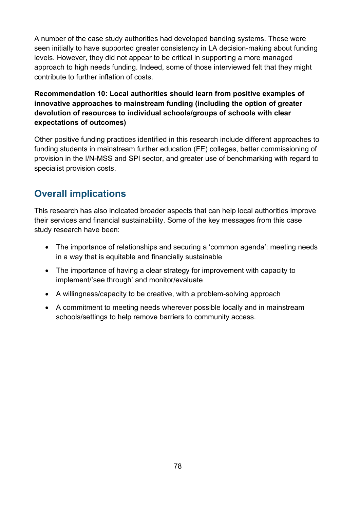A number of the case study authorities had developed banding systems. These were seen initially to have supported greater consistency in LA decision-making about funding levels. However, they did not appear to be critical in supporting a more managed approach to high needs funding. Indeed, some of those interviewed felt that they might contribute to further inflation of costs.

#### **Recommendation 10: Local authorities should learn from positive examples of innovative approaches to mainstream funding (including the option of greater devolution of resources to individual schools/groups of schools with clear expectations of outcomes)**

Other positive funding practices identified in this research include different approaches to funding students in mainstream further education (FE) colleges, better commissioning of provision in the I/N-MSS and SPI sector, and greater use of benchmarking with regard to specialist provision costs.

# **Overall implications**

This research has also indicated broader aspects that can help local authorities improve their services and financial sustainability. Some of the key messages from this case study research have been:

- The importance of relationships and securing a 'common agenda': meeting needs in a way that is equitable and financially sustainable
- The importance of having a clear strategy for improvement with capacity to implement/'see through' and monitor/evaluate
- A willingness/capacity to be creative, with a problem-solving approach
- A commitment to meeting needs wherever possible locally and in mainstream schools/settings to help remove barriers to community access.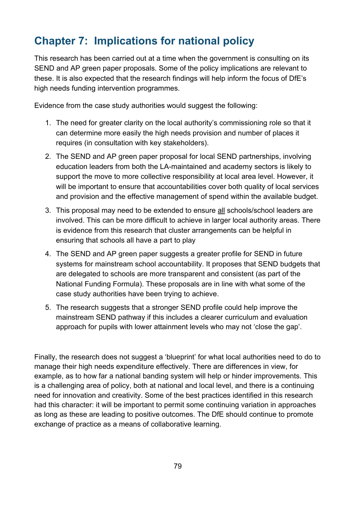# **Chapter 7: Implications for national policy**

This research has been carried out at a time when the government is consulting on its SEND and AP green paper proposals. Some of the policy implications are relevant to these. It is also expected that the research findings will help inform the focus of DfE's high needs funding intervention programmes.

Evidence from the case study authorities would suggest the following:

- 1. The need for greater clarity on the local authority's commissioning role so that it can determine more easily the high needs provision and number of places it requires (in consultation with key stakeholders).
- 2. The SEND and AP green paper proposal for local SEND partnerships, involving education leaders from both the LA-maintained and academy sectors is likely to support the move to more collective responsibility at local area level. However, it will be important to ensure that accountabilities cover both quality of local services and provision and the effective management of spend within the available budget.
- 3. This proposal may need to be extended to ensure all schools/school leaders are involved. This can be more difficult to achieve in larger local authority areas. There is evidence from this research that cluster arrangements can be helpful in ensuring that schools all have a part to play
- 4. The SEND and AP green paper suggests a greater profile for SEND in future systems for mainstream school accountability. It proposes that SEND budgets that are delegated to schools are more transparent and consistent (as part of the National Funding Formula). These proposals are in line with what some of the case study authorities have been trying to achieve.
- 5. The research suggests that a stronger SEND profile could help improve the mainstream SEND pathway if this includes a clearer curriculum and evaluation approach for pupils with lower attainment levels who may not 'close the gap'.

Finally, the research does not suggest a 'blueprint' for what local authorities need to do to manage their high needs expenditure effectively. There are differences in view, for example, as to how far a national banding system will help or hinder improvements. This is a challenging area of policy, both at national and local level, and there is a continuing need for innovation and creativity. Some of the best practices identified in this research had this character: it will be important to permit some continuing variation in approaches as long as these are leading to positive outcomes. The DfE should continue to promote exchange of practice as a means of collaborative learning.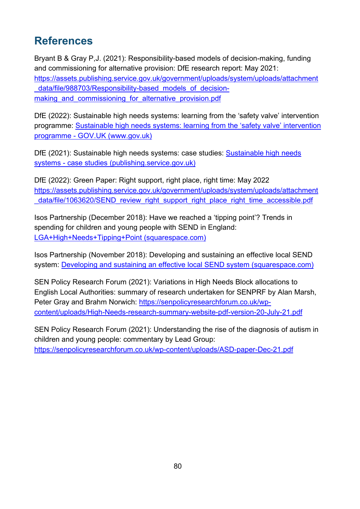# **References**

Bryant B & Gray P,J. (2021): Responsibility-based models of decision-making, funding and commissioning for alternative provision: DfE research report: May 2021: [https://assets.publishing.service.gov.uk/government/uploads/system/uploads/attachment](https://assets.publishing.service.gov.uk/government/uploads/system/uploads/attachment_data/file/988703/Responsibility-based_models_of_decision-making_and_commissioning_for_alternative_provision.pdf) data/file/988703/Responsibility-based models of decisionmaking and commissioning for alternative provision.pdf

DfE (2022): Sustainable high needs systems: learning from the 'safety valve' intervention programme: [Sustainable high needs systems: learning from the 'safety valve' intervention](https://www.gov.uk/government/publications/creating-sustainable-high-needs-systems/sustainable-high-needs-systems-learning-from-the-safety-valve-intervention-programme)  [programme - GOV.UK \(www.gov.uk\)](https://www.gov.uk/government/publications/creating-sustainable-high-needs-systems/sustainable-high-needs-systems-learning-from-the-safety-valve-intervention-programme)

DfE (2021): [Sustainable high needs](https://assets.publishing.service.gov.uk/government/uploads/system/uploads/attachment_data/file/1003162/Case_studies_-_Sustainable_high_needs_systems_16July2021.pdf) systems: case studies: Sustainable high needs [systems - case studies \(publishing.service.gov.uk\)](https://assets.publishing.service.gov.uk/government/uploads/system/uploads/attachment_data/file/1003162/Case_studies_-_Sustainable_high_needs_systems_16July2021.pdf)

DfE (2022): Green Paper: Right support, right place, right time: May 2022 [https://assets.publishing.service.gov.uk/government/uploads/system/uploads/attachment](https://assets.publishing.service.gov.uk/government/uploads/system/uploads/attachment_data/file/1063620/SEND_review_right_support_right_place_right_time_accessible.pdf) data/file/1063620/SEND\_review\_right\_support\_right\_place\_right\_time\_accessible.pdf

Isos Partnership (December 2018): Have we reached a 'tipping point'? Trends in spending for children and young people with SEND in England: [LGA+High+Needs+Tipping+Point \(squarespace.com\)](https://static1.squarespace.com/static/5ce55a5ad4c5c500016855ee/t/5d1cdad6b27e2700017ea7c9/1575395025501/LGA+High+Needs+Tipping+Point)

Isos Partnership (November 2018): Developing and sustaining an effective local SEND system: [Developing and sustaining an effective local SEND system \(squarespace.com\)](https://static1.squarespace.com/static/5ce55a5ad4c5c500016855ee/t/5d1cdaee9e6a5400011b6aa7/1562172149452/181108_LGA+SEND_final+report.pdf)

SEN Policy Research Forum (2021): Variations in High Needs Block allocations to English Local Authorities: summary of research undertaken for SENPRF by Alan Marsh, Peter Gray and Brahm Norwich: [https://senpolicyresearchforum.co.uk/wp](https://senpolicyresearchforum.co.uk/wp-content/uploads/High-Needs-research-summary-website-pdf-version-20-July-21.pdf)[content/uploads/High-Needs-research-summary-website-pdf-version-20-July-21.pdf](https://senpolicyresearchforum.co.uk/wp-content/uploads/High-Needs-research-summary-website-pdf-version-20-July-21.pdf)

SEN Policy Research Forum (2021): Understanding the rise of the diagnosis of autism in children and young people: commentary by Lead Group: <https://senpolicyresearchforum.co.uk/wp-content/uploads/ASD-paper-Dec-21.pdf>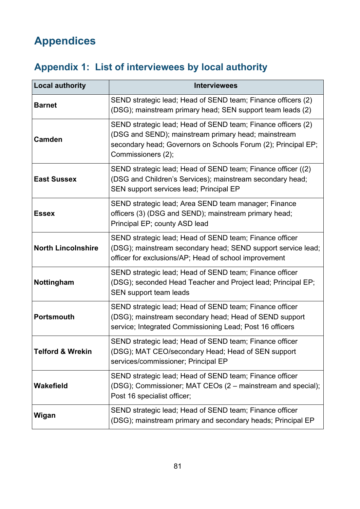# **Appendices**

# **Appendix 1: List of interviewees by local authority**

| <b>Local authority</b>    | <b>Interviewees</b>                                                                                                                                                                                        |
|---------------------------|------------------------------------------------------------------------------------------------------------------------------------------------------------------------------------------------------------|
| <b>Barnet</b>             | SEND strategic lead; Head of SEND team; Finance officers (2)<br>(DSG); mainstream primary head; SEN support team leads (2)                                                                                 |
| <b>Camden</b>             | SEND strategic lead; Head of SEND team; Finance officers (2)<br>(DSG and SEND); mainstream primary head; mainstream<br>secondary head; Governors on Schools Forum (2); Principal EP;<br>Commissioners (2); |
| <b>East Sussex</b>        | SEND strategic lead; Head of SEND team; Finance officer ((2)<br>(DSG and Children's Services); mainstream secondary head;<br>SEN support services lead; Principal EP                                       |
| <b>Essex</b>              | SEND strategic lead; Area SEND team manager; Finance<br>officers (3) (DSG and SEND); mainstream primary head;<br>Principal EP; county ASD lead                                                             |
| <b>North Lincolnshire</b> | SEND strategic lead; Head of SEND team; Finance officer<br>(DSG); mainstream secondary head; SEND support service lead;<br>officer for exclusions/AP; Head of school improvement                           |
| Nottingham                | SEND strategic lead; Head of SEND team; Finance officer<br>(DSG); seconded Head Teacher and Project lead; Principal EP;<br>SEN support team leads                                                          |
| <b>Portsmouth</b>         | SEND strategic lead; Head of SEND team; Finance officer<br>(DSG); mainstream secondary head; Head of SEND support<br>service; Integrated Commissioning Lead; Post 16 officers                              |
| Telford & Wrekin          | SEND strategic lead; Head of SEND team; Finance officer<br>(DSG); MAT CEO/secondary Head; Head of SEN support<br>services/commissioner; Principal EP                                                       |
| <b>Wakefield</b>          | SEND strategic lead; Head of SEND team; Finance officer<br>(DSG); Commissioner; MAT CEOs (2 – mainstream and special);<br>Post 16 specialist officer;                                                      |
| Wigan                     | SEND strategic lead; Head of SEND team; Finance officer<br>(DSG); mainstream primary and secondary heads; Principal EP                                                                                     |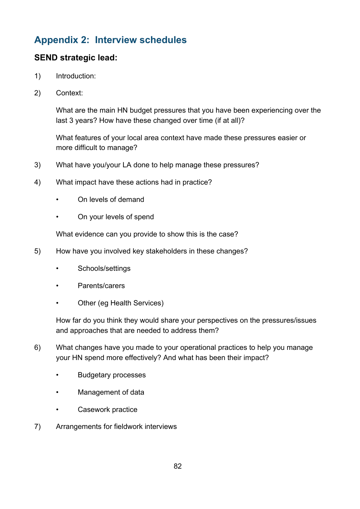## **Appendix 2: Interview schedules**

## **SEND strategic lead:**

- 1) Introduction:
- 2) Context:

What are the main HN budget pressures that you have been experiencing over the last 3 years? How have these changed over time (if at all)?

What features of your local area context have made these pressures easier or more difficult to manage?

- 3) What have you/your LA done to help manage these pressures?
- 4) What impact have these actions had in practice?
	- On levels of demand
	- On your levels of spend

What evidence can you provide to show this is the case?

- 5) How have you involved key stakeholders in these changes?
	- Schools/settings
	- Parents/carers
	- Other (eg Health Services)

How far do you think they would share your perspectives on the pressures/issues and approaches that are needed to address them?

- 6) What changes have you made to your operational practices to help you manage your HN spend more effectively? And what has been their impact?
	- Budgetary processes
	- Management of data
	- Casework practice
- 7) Arrangements for fieldwork interviews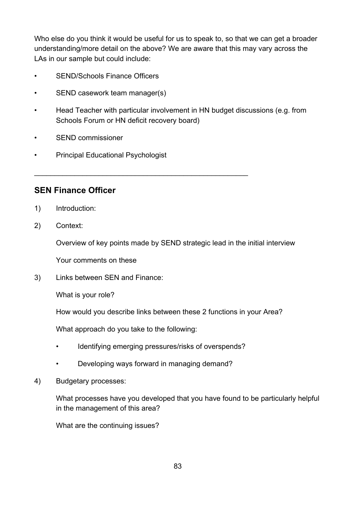Who else do you think it would be useful for us to speak to, so that we can get a broader understanding/more detail on the above? We are aware that this may vary across the LAs in our sample but could include:

- SEND/Schools Finance Officers
- SEND casework team manager(s)
- Head Teacher with particular involvement in HN budget discussions (e.g. from Schools Forum or HN deficit recovery board)
- SEND commissioner
- Principal Educational Psychologist

**SEN Finance Officer** 

- 1) Introduction:
- 2) Context:

Overview of key points made by SEND strategic lead in the initial interview

Your comments on these

3) Links between SEN and Finance:

What is your role?

How would you describe links between these 2 functions in your Area?

What approach do you take to the following:

- Identifying emerging pressures/risks of overspends?
- Developing ways forward in managing demand?

\_\_\_\_\_\_\_\_\_\_\_\_\_\_\_\_\_\_\_\_\_\_\_\_\_\_\_\_\_\_\_\_\_\_\_\_\_\_\_\_\_\_\_\_\_\_\_\_\_\_\_\_\_

4) Budgetary processes:

What processes have you developed that you have found to be particularly helpful in the management of this area?

What are the continuing issues?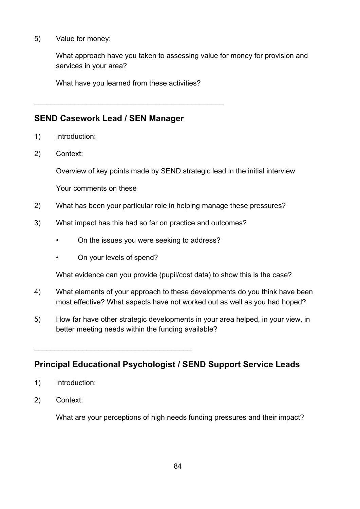5) Value for money:

What approach have you taken to assessing value for money for provision and services in your area?

What have you learned from these activities?

\_\_\_\_\_\_\_\_\_\_\_\_\_\_\_\_\_\_\_\_\_\_\_\_\_\_\_\_\_\_\_\_\_\_\_\_\_\_\_\_\_\_\_\_\_\_\_

### **SEND Casework Lead / SEN Manager**

- 1) Introduction:
- 2) Context:

Overview of key points made by SEND strategic lead in the initial interview

Your comments on these

- 2) What has been your particular role in helping manage these pressures?
- 3) What impact has this had so far on practice and outcomes?
	- On the issues you were seeking to address?
	- On your levels of spend?

\_\_\_\_\_\_\_\_\_\_\_\_\_\_\_\_\_\_\_\_\_\_\_\_\_\_\_\_\_\_\_\_\_\_\_\_\_\_\_

What evidence can you provide (pupil/cost data) to show this is the case?

- 4) What elements of your approach to these developments do you think have been most effective? What aspects have not worked out as well as you had hoped?
- 5) How far have other strategic developments in your area helped, in your view, in better meeting needs within the funding available?

## **Principal Educational Psychologist / SEND Support Service Leads**

- 1) Introduction:
- 2) Context:

What are your perceptions of high needs funding pressures and their impact?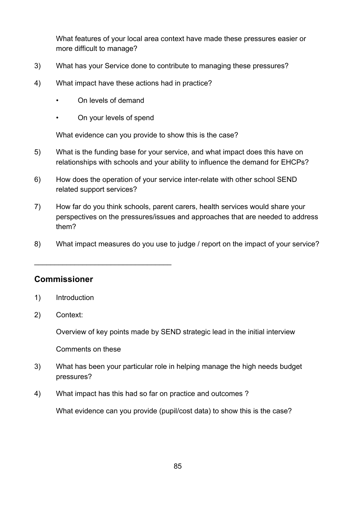What features of your local area context have made these pressures easier or more difficult to manage?

- 3) What has your Service done to contribute to managing these pressures?
- 4) What impact have these actions had in practice?
	- On levels of demand
	- On your levels of spend

\_\_\_\_\_\_\_\_\_\_\_\_\_\_\_\_\_\_\_\_\_\_\_\_\_\_\_\_\_\_\_\_\_\_

What evidence can you provide to show this is the case?

- 5) What is the funding base for your service, and what impact does this have on relationships with schools and your ability to influence the demand for EHCPs?
- 6) How does the operation of your service inter-relate with other school SEND related support services?
- 7) How far do you think schools, parent carers, health services would share your perspectives on the pressures/issues and approaches that are needed to address them?
- 8) What impact measures do you use to judge / report on the impact of your service?

#### **Commissioner**

- 1) Introduction
- 2) Context:

Overview of key points made by SEND strategic lead in the initial interview

Comments on these

- 3) What has been your particular role in helping manage the high needs budget pressures?
- 4) What impact has this had so far on practice and outcomes ?

What evidence can you provide (pupil/cost data) to show this is the case?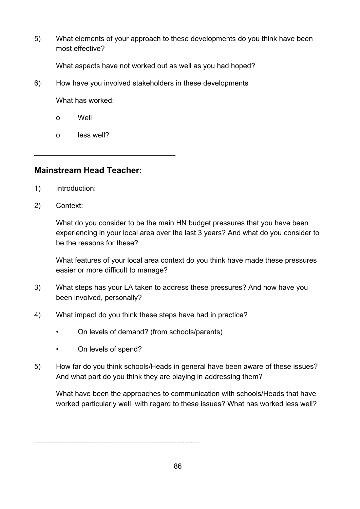5) What elements of your approach to these developments do you think have been most effective?

What aspects have not worked out as well as you had hoped?

6) How have you involved stakeholders in these developments

What has worked:

- o Well
- o less well?

### **Mainstream Head Teacher:**

\_\_\_\_\_\_\_\_\_\_\_\_\_\_\_\_\_\_\_\_\_\_\_\_\_\_\_\_\_\_\_\_\_\_\_

- 1) Introduction:
- 2) Context:

What do you consider to be the main HN budget pressures that you have been experiencing in your local area over the last 3 years? And what do you consider to be the reasons for these?

What features of your local area context do you think have made these pressures easier or more difficult to manage?

- 3) What steps has your LA taken to address these pressures? And how have you been involved, personally?
- 4) What impact do you think these steps have had in practice?
	- On levels of demand? (from schools/parents)
	- On levels of spend?

\_\_\_\_\_\_\_\_\_\_\_\_\_\_\_\_\_\_\_\_\_\_\_\_\_\_\_\_\_\_\_\_\_\_\_\_\_\_\_\_\_

5) How far do you think schools/Heads in general have been aware of these issues? And what part do you think they are playing in addressing them?

What have been the approaches to communication with schools/Heads that have worked particularly well, with regard to these issues? What has worked less well?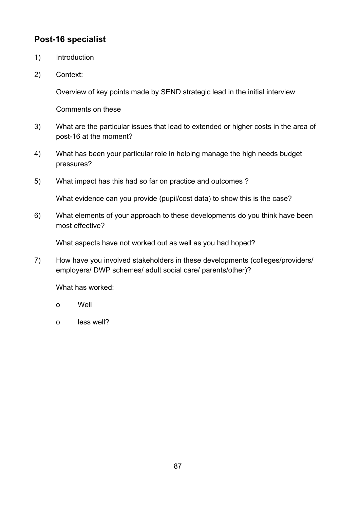## **Post-16 specialist**

- 1) Introduction
- 2) Context:

Overview of key points made by SEND strategic lead in the initial interview

Comments on these

- 3) What are the particular issues that lead to extended or higher costs in the area of post-16 at the moment?
- 4) What has been your particular role in helping manage the high needs budget pressures?
- 5) What impact has this had so far on practice and outcomes ?

What evidence can you provide (pupil/cost data) to show this is the case?

6) What elements of your approach to these developments do you think have been most effective?

What aspects have not worked out as well as you had hoped?

7) How have you involved stakeholders in these developments (colleges/providers/ employers/ DWP schemes/ adult social care/ parents/other)?

What has worked:

- o Well
- o less well?